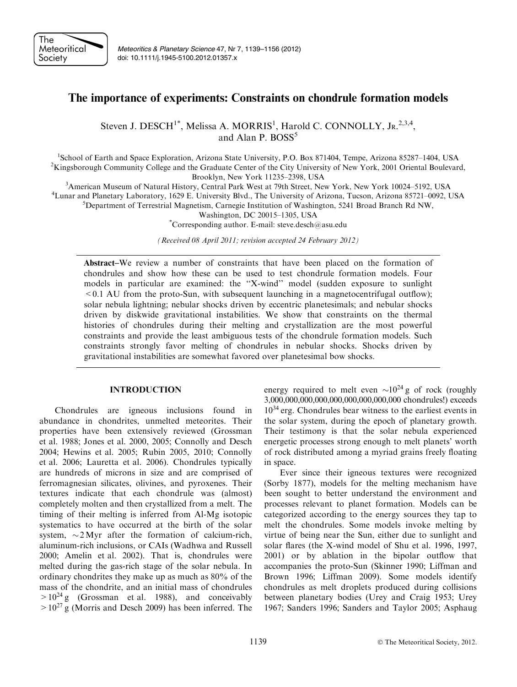

Meteoritics & Planetary Science 47, Nr 7, 1139–1156 (2012) doi: 10.1111/j.1945-5100.2012.01357.x

# The importance of experiments: Constraints on chondrule formation models

Steven J. DESCH<sup>1\*</sup>, Melissa A. MORRIS<sup>1</sup>, Harold C. CONNOLLY, Jr.<sup>2,3,4</sup>, and Alan P.  $BOS<sup>5</sup>$ 

<sup>1</sup>School of Earth and Space Exploration, Arizona State University, P.O. Box 871404, Tempe, Arizona 85287–1404, USA  $^{2}$ K ingshorough Community College and the Graduate Center of the City University of New York 2001 Orie <sup>2</sup>Kingsborough Community College and the Graduate Center of the City University of New York, 2001 Oriental Boulevard, Brooklyn, New York 11235–2398, USA<br><sup>3</sup> American Museum of Natural History, Central Park West at 79th Street, Ne

<sup>3</sup>American Museum of Natural History, Central Park West at 79th Street, New York, New York 10024–5192, USA  $^{4}I$  unar and Planetary Laboratory, 1629 E. University Blud. The University of Arizona Tueson, Arizona 85721, 0 Lunar and Planetary Laboratory, 1629 E. University Blvd., The University of Arizona, Tucson, Arizona 85721–0092, USA <sup>5</sup> <sup>5</sup>Department of Terrestrial Magnetism, Carnegie Institution of Washington, 5241 Broad Branch Rd NW,

Washington, DC 20015–1305, USA \*

Corresponding author. E-mail: steve.desch@asu.edu

(Received 08 April 2011; revision accepted 24 February 2012)

Abstract–We review a number of constraints that have been placed on the formation of chondrules and show how these can be used to test chondrule formation models. Four models in particular are examined: the ''X-wind'' model (sudden exposure to sunlight  $\leq$  0.1 AU from the proto-Sun, with subsequent launching in a magnetocentrifugal outflow); solar nebula lightning; nebular shocks driven by eccentric planetesimals; and nebular shocks driven by diskwide gravitational instabilities. We show that constraints on the thermal histories of chondrules during their melting and crystallization are the most powerful constraints and provide the least ambiguous tests of the chondrule formation models. Such constraints strongly favor melting of chondrules in nebular shocks. Shocks driven by gravitational instabilities are somewhat favored over planetesimal bow shocks.

# INTRODUCTION

Chondrules are igneous inclusions found in abundance in chondrites, unmelted meteorites. Their properties have been extensively reviewed (Grossman et al. 1988; Jones et al. 2000, 2005; Connolly and Desch 2004; Hewins et al. 2005; Rubin 2005, 2010; Connolly et al. 2006; Lauretta et al. 2006). Chondrules typically are hundreds of microns in size and are comprised of ferromagnesian silicates, olivines, and pyroxenes. Their textures indicate that each chondrule was (almost) completely molten and then crystallized from a melt. The timing of their melting is inferred from Al-Mg isotopic systematics to have occurred at the birth of the solar system,  $\sim$  2 Myr after the formation of calcium-rich, aluminum-rich inclusions, or CAIs (Wadhwa and Russell 2000; Amelin et al. 2002). That is, chondrules were melted during the gas-rich stage of the solar nebula. In ordinary chondrites they make up as much as 80% of the mass of the chondrite, and an initial mass of chondrules  $>10^{24}$  g (Grossman et al. 1988), and conceivably  $>10^{27}$  g (Morris and Desch 2009) has been inferred. The

energy required to melt even  $\sim 10^{24}$  g of rock (roughly 3,000,000,000,000,000,000,000,000,000 chondrules!) exceeds  $10^{34}$  erg. Chondrules bear witness to the earliest events in the solar system, during the epoch of planetary growth. Their testimony is that the solar nebula experienced energetic processes strong enough to melt planets' worth of rock distributed among a myriad grains freely floating in space.

Ever since their igneous textures were recognized (Sorby 1877), models for the melting mechanism have been sought to better understand the environment and processes relevant to planet formation. Models can be categorized according to the energy sources they tap to melt the chondrules. Some models invoke melting by virtue of being near the Sun, either due to sunlight and solar flares (the X-wind model of Shu et al. 1996, 1997, 2001) or by ablation in the bipolar outflow that accompanies the proto-Sun (Skinner 1990; Liffman and Brown 1996; Liffman 2009). Some models identify chondrules as melt droplets produced during collisions between planetary bodies (Urey and Craig 1953; Urey 1967; Sanders 1996; Sanders and Taylor 2005; Asphaug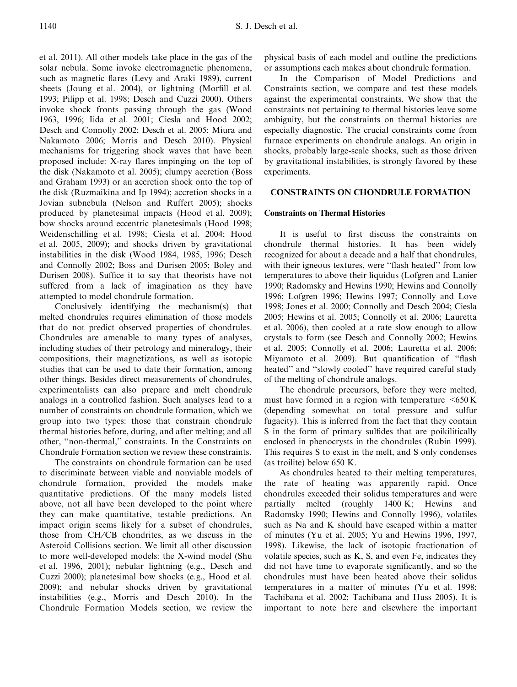et al. 2011). All other models take place in the gas of the solar nebula. Some invoke electromagnetic phenomena, such as magnetic flares (Levy and Araki 1989), current sheets (Joung et al. 2004), or lightning (Morfill et al. 1993; Pilipp et al. 1998; Desch and Cuzzi 2000). Others invoke shock fronts passing through the gas (Wood 1963, 1996; Iida et al. 2001; Ciesla and Hood 2002; Desch and Connolly 2002; Desch et al. 2005; Miura and Nakamoto 2006; Morris and Desch 2010). Physical mechanisms for triggering shock waves that have been proposed include: X-ray flares impinging on the top of the disk (Nakamoto et al. 2005); clumpy accretion (Boss and Graham 1993) or an accretion shock onto the top of the disk (Ruzmaikina and Ip 1994); accretion shocks in a Jovian subnebula (Nelson and Ruffert 2005); shocks produced by planetesimal impacts (Hood et al. 2009); bow shocks around eccentric planetesimals (Hood 1998; Weidenschilling et al. 1998; Ciesla et al. 2004; Hood et al. 2005, 2009); and shocks driven by gravitational instabilities in the disk (Wood 1984, 1985, 1996; Desch and Connolly 2002; Boss and Durisen 2005; Boley and Durisen 2008). Suffice it to say that theorists have not suffered from a lack of imagination as they have attempted to model chondrule formation.

Conclusively identifying the mechanism(s) that melted chondrules requires elimination of those models that do not predict observed properties of chondrules. Chondrules are amenable to many types of analyses, including studies of their petrology and mineralogy, their compositions, their magnetizations, as well as isotopic studies that can be used to date their formation, among other things. Besides direct measurements of chondrules, experimentalists can also prepare and melt chondrule analogs in a controlled fashion. Such analyses lead to a number of constraints on chondrule formation, which we group into two types: those that constrain chondrule thermal histories before, during, and after melting; and all other, ''non-thermal,'' constraints. In the Constraints on Chondrule Formation section we review these constraints.

The constraints on chondrule formation can be used to discriminate between viable and nonviable models of chondrule formation, provided the models make quantitative predictions. Of the many models listed above, not all have been developed to the point where they can make quantitative, testable predictions. An impact origin seems likely for a subset of chondrules, those from CH/CB chondrites, as we discuss in the Asteroid Collisions section. We limit all other discussion to more well-developed models: the X-wind model (Shu et al. 1996, 2001); nebular lightning (e.g., Desch and Cuzzi 2000); planetesimal bow shocks (e.g., Hood et al. 2009); and nebular shocks driven by gravitational instabilities (e.g., Morris and Desch 2010). In the Chondrule Formation Models section, we review the physical basis of each model and outline the predictions or assumptions each makes about chondrule formation.

In the Comparison of Model Predictions and Constraints section, we compare and test these models against the experimental constraints. We show that the constraints not pertaining to thermal histories leave some ambiguity, but the constraints on thermal histories are especially diagnostic. The crucial constraints come from furnace experiments on chondrule analogs. An origin in shocks, probably large-scale shocks, such as those driven by gravitational instabilities, is strongly favored by these experiments.

# CONSTRAINTS ON CHONDRULE FORMATION

# Constraints on Thermal Histories

It is useful to first discuss the constraints on chondrule thermal histories. It has been widely recognized for about a decade and a half that chondrules, with their igneous textures, were "flash heated" from low temperatures to above their liquidus (Lofgren and Lanier 1990; Radomsky and Hewins 1990; Hewins and Connolly 1996; Lofgren 1996; Hewins 1997; Connolly and Love 1998; Jones et al. 2000; Connolly and Desch 2004; Ciesla 2005; Hewins et al. 2005; Connolly et al. 2006; Lauretta et al. 2006), then cooled at a rate slow enough to allow crystals to form (see Desch and Connolly 2002; Hewins et al. 2005; Connolly et al. 2006; Lauretta et al. 2006; Miyamoto et al. 2009). But quantification of ''flash heated'' and ''slowly cooled'' have required careful study of the melting of chondrule analogs.

The chondrule precursors, before they were melted, must have formed in a region with temperature  $\leq 650 \,\mathrm{K}$ (depending somewhat on total pressure and sulfur fugacity). This is inferred from the fact that they contain S in the form of primary sulfides that are poikilitically enclosed in phenocrysts in the chondrules (Rubin 1999). This requires S to exist in the melt, and S only condenses (as troilite) below 650 K.

As chondrules heated to their melting temperatures, the rate of heating was apparently rapid. Once chondrules exceeded their solidus temperatures and were partially melted (roughly 1400 K; Hewins and Radomsky 1990; Hewins and Connolly 1996), volatiles such as Na and K should have escaped within a matter of minutes (Yu et al. 2005; Yu and Hewins 1996, 1997, 1998). Likewise, the lack of isotopic fractionation of volatile species, such as K, S, and even Fe, indicates they did not have time to evaporate significantly, and so the chondrules must have been heated above their solidus temperatures in a matter of minutes (Yu et al. 1998; Tachibana et al. 2002; Tachibana and Huss 2005). It is important to note here and elsewhere the important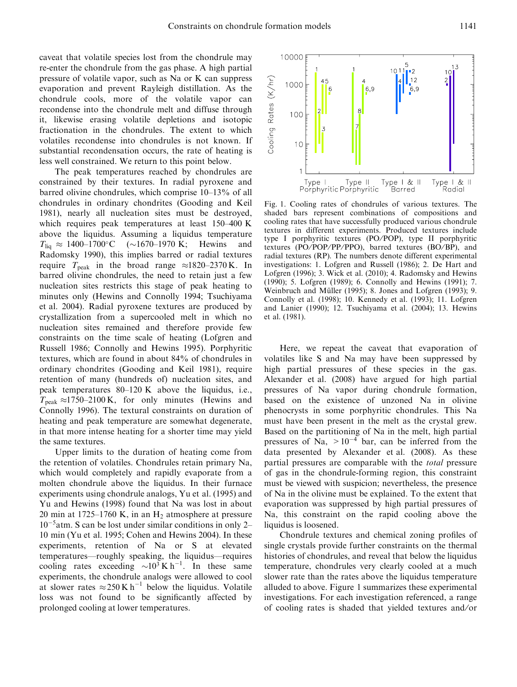caveat that volatile species lost from the chondrule may re-enter the chondrule from the gas phase. A high partial pressure of volatile vapor, such as Na or K can suppress evaporation and prevent Rayleigh distillation. As the chondrule cools, more of the volatile vapor can recondense into the chondrule melt and diffuse through it, likewise erasing volatile depletions and isotopic fractionation in the chondrules. The extent to which volatiles recondense into chondrules is not known. If substantial recondensation occurs, the rate of heating is less well constrained. We return to this point below.

The peak temperatures reached by chondrules are constrained by their textures. In radial pyroxene and barred olivine chondrules, which comprise 10–13% of all chondrules in ordinary chondrites (Gooding and Keil 1981), nearly all nucleation sites must be destroyed, which requires peak temperatures at least 150–400 K above the liquidus. Assuming a liquidus temperature  $T_{\text{liq}} \approx 1400 - 1700$ °C (~1670–1970 K; Hewins and Radomsky 1990), this implies barred or radial textures require  $T_{\text{peak}}$  in the broad range  $\approx 1820-2370 \text{ K}$ . In barred olivine chondrules, the need to retain just a few nucleation sites restricts this stage of peak heating to minutes only (Hewins and Connolly 1994; Tsuchiyama et al. 2004). Radial pyroxene textures are produced by crystallization from a supercooled melt in which no nucleation sites remained and therefore provide few constraints on the time scale of heating (Lofgren and Russell 1986; Connolly and Hewins 1995). Porphyritic textures, which are found in about 84% of chondrules in ordinary chondrites (Gooding and Keil 1981), require retention of many (hundreds of) nucleation sites, and peak temperatures 80–120 K above the liquidus, i.e.,  $T_{\text{peak}} \approx 1750 - 2100 \text{ K}$ , for only minutes (Hewins and Connolly 1996). The textural constraints on duration of heating and peak temperature are somewhat degenerate, in that more intense heating for a shorter time may yield the same textures.

Upper limits to the duration of heating come from the retention of volatiles. Chondrules retain primary Na, which would completely and rapidly evaporate from a molten chondrule above the liquidus. In their furnace experiments using chondrule analogs, Yu et al. (1995) and Yu and Hewins (1998) found that Na was lost in about 20 min at 1725–1760 K, in an  $H_2$  atmosphere at pressure  $10^{-5}$ atm. S can be lost under similar conditions in only 2– 10 min (Yu et al. 1995; Cohen and Hewins 2004). In these experiments, retention of Na or S at elevated temperatures—roughly speaking, the liquidus—requires cooling rates exceeding  $\sim 10^3 \text{ K h}^{-1}$ . In these same experiments, the chondrule analogs were allowed to cool at slower rates  $\approx 250 \text{ K h}^{-1}$  below the liquidus. Volatile loss was not found to be significantly affected by prolonged cooling at lower temperatures.

100 Cooling F  $1C$  $\overline{1}$ Type II Type | & II Type | & || Type I Porphyritic Porphyritic Barred Radial Fig. 1. Cooling rates of chondrules of various textures. The shaded bars represent combinations of compositions and cooling rates that have successfully produced various chondrule textures in different experiments. Produced textures include type I porphyritic textures (PO/POP), type II porphyritic textures (PO/POP/PP/PPO), barred textures (BO/BP), and radial textures (RP). The numbers denote different experimental investigations: 1. Lofgren and Russell (1986); 2. De Hart and Lofgren (1996); 3. Wick et al. (2010); 4. Radomsky and Hewins (1990); 5. Lofgren (1989); 6. Connolly and Hewins (1991); 7. Weinbruch and Müller (1995); 8. Jones and Lofgren (1993); 9.

Connolly et al. (1998); 10. Kennedy et al. (1993); 11. Lofgren and Lanier (1990); 12. Tsuchiyama et al. (2004); 13. Hewins

et al. (1981).

Here, we repeat the caveat that evaporation of volatiles like S and Na may have been suppressed by high partial pressures of these species in the gas. Alexander et al. (2008) have argued for high partial pressures of Na vapor during chondrule formation, based on the existence of unzoned Na in olivine phenocrysts in some porphyritic chondrules. This Na must have been present in the melt as the crystal grew. Based on the partitioning of Na in the melt, high partial pressures of Na,  $>10^{-4}$  bar, can be inferred from the data presented by Alexander et al. (2008). As these partial pressures are comparable with the total pressure of gas in the chondrule-forming region, this constraint must be viewed with suspicion; nevertheless, the presence of Na in the olivine must be explained. To the extent that evaporation was suppressed by high partial pressures of Na, this constraint on the rapid cooling above the liquidus is loosened.

Chondrule textures and chemical zoning profiles of single crystals provide further constraints on the thermal histories of chondrules, and reveal that below the liquidus temperature, chondrules very clearly cooled at a much slower rate than the rates above the liquidus temperature alluded to above. Figure 1 summarizes these experimental investigations. For each investigation referenced, a range of cooling rates is shaded that yielded textures and ⁄ or



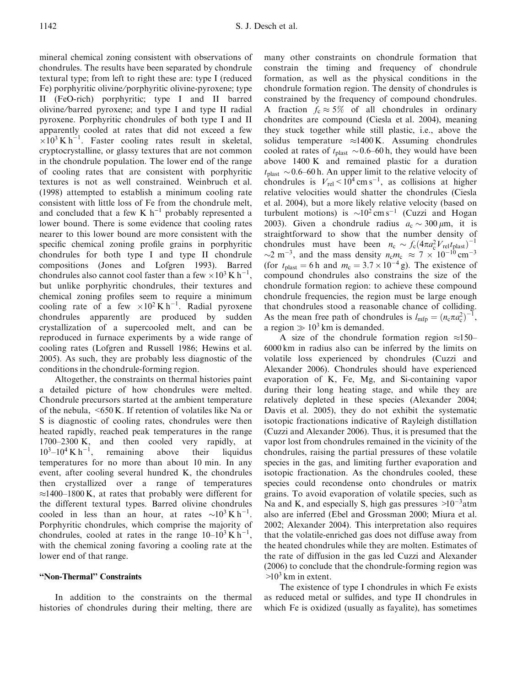mineral chemical zoning consistent with observations of chondrules. The results have been separated by chondrule textural type; from left to right these are: type I (reduced Fe) porphyritic olivine/porphyritic olivine-pyroxene; type II (FeO-rich) porphyritic; type I and II barred olivine ⁄ barred pyroxene; and type I and type II radial pyroxene. Porphyritic chondrules of both type I and II apparently cooled at rates that did not exceed a few  $\times 10^3$  K h<sup>-1</sup>. Faster cooling rates result in skeletal, cryptocrystalline, or glassy textures that are not common in the chondrule population. The lower end of the range of cooling rates that are consistent with porphyritic textures is not as well constrained. Weinbruch et al. (1998) attempted to establish a minimum cooling rate consistent with little loss of Fe from the chondrule melt, and concluded that a few K  $h^{-1}$  probably represented a lower bound. There is some evidence that cooling rates nearer to this lower bound are more consistent with the specific chemical zoning profile grains in porphyritic chondrules for both type I and type II chondrule compositions (Jones and Lofgren 1993). Barred chondrules also cannot cool faster than a few  $\times 10^3$  K h<sup>-1</sup>, but unlike porphyritic chondrules, their textures and chemical zoning profiles seem to require a minimum cooling rate of a few  $\times 10^2$  K h<sup>-1</sup>. Radial pyroxene chondrules apparently are produced by sudden crystallization of a supercooled melt, and can be reproduced in furnace experiments by a wide range of cooling rates (Lofgren and Russell 1986; Hewins et al. 2005). As such, they are probably less diagnostic of the conditions in the chondrule-forming region.

Altogether, the constraints on thermal histories paint a detailed picture of how chondrules were melted. Chondrule precursors started at the ambient temperature of the nebula, <650 K. If retention of volatiles like Na or S is diagnostic of cooling rates, chondrules were then heated rapidly, reached peak temperatures in the range 1700–2300 K, and then cooled very rapidly, at  $10^3 - 10^4$  K h<sup>-1</sup>, , remaining above their liquidus temperatures for no more than about 10 min. In any event, after cooling several hundred K, the chondrules then crystallized over a range of temperatures  $\approx$ 1400–1800 K, at rates that probably were different for the different textural types. Barred olivine chondrules cooled in less than an hour, at rates  $\sim 10^3 \text{ K h}^{-1}$ . Porphyritic chondrules, which comprise the majority of chondrules, cooled at rates in the range  $10-10^3$  K h<sup>-1</sup>, with the chemical zoning favoring a cooling rate at the lower end of that range.

### ''Non-Thermal'' Constraints

In addition to the constraints on the thermal histories of chondrules during their melting, there are many other constraints on chondrule formation that constrain the timing and frequency of chondrule formation, as well as the physical conditions in the chondrule formation region. The density of chondrules is constrained by the frequency of compound chondrules. A fraction  $f_c \approx 5\%$  of all chondrules in ordinary chondrites are compound (Ciesla et al. 2004), meaning they stuck together while still plastic, i.e., above the solidus temperature  $\approx 1400 \text{ K}$ . Assuming chondrules cooled at rates of  $t_{\text{plast}} \sim 0.6{\text -}60 \text{ h}$ , they would have been above 1400 K and remained plastic for a duration  $t_{\text{plast}} \sim 0.6{\text -}60 \text{ h}$ . An upper limit to the relative velocity of chondrules is  $V_{\text{rel}} < 10^4 \text{ cm s}^{-1}$ , as collisions at higher relative velocities would shatter the chondrules (Ciesla et al. 2004), but a more likely relative velocity (based on turbulent motions) is  $\sim 10^2 \text{ cm s}^{-1}$  (Cuzzi and Hogan 2003). Given a chondrule radius  $a_c \sim 300 \,\mu \text{m}$ , it is straightforward to show that the number density of chondrules must have been  $n_c \sim f_c (4\pi a_c^2 V_{\text{rel}} t_{\text{plast}})^{-1}$  $\sim$ 2 m<sup>-3</sup>, and the mass density  $n_c m_c \approx 7 \times 10^{-10} \text{ cm}^{-3}$ (for  $t_{\text{plast}} = 6 \text{ h}$  and  $m_c = 3.7 \times 10^{-4} \text{ g}$ ). The existence of compound chondrules also constrains the size of the chondrule formation region: to achieve these compound chondrule frequencies, the region must be large enough that chondrules stood a reasonable chance of colliding. As the mean free path of chondrules is  $l_{\text{mfp}} = (n_c \pi a_c^2)^{-1}$ , a region  $\gg 10^3$  km is demanded.

A size of the chondrule formation region  $\approx 150-$ 6000 km in radius also can be inferred by the limits on volatile loss experienced by chondrules (Cuzzi and Alexander 2006). Chondrules should have experienced evaporation of K, Fe, Mg, and Si-containing vapor during their long heating stage, and while they are relatively depleted in these species (Alexander 2004; Davis et al. 2005), they do not exhibit the systematic isotopic fractionations indicative of Rayleigh distillation (Cuzzi and Alexander 2006). Thus, it is presumed that the vapor lost from chondrules remained in the vicinity of the chondrules, raising the partial pressures of these volatile species in the gas, and limiting further evaporation and isotopic fractionation. As the chondrules cooled, these species could recondense onto chondrules or matrix grains. To avoid evaporation of volatile species, such as Na and K, and especially S, high gas pressures  $>10^{-3}$ atm also are inferred (Ebel and Grossman 2000; Miura et al. 2002; Alexander 2004). This interpretation also requires that the volatile-enriched gas does not diffuse away from the heated chondrules while they are molten. Estimates of the rate of diffusion in the gas led Cuzzi and Alexander (2006) to conclude that the chondrule-forming region was  $>10<sup>3</sup>$  km in extent.

The existence of type I chondrules in which Fe exists as reduced metal or sulfides, and type II chondrules in which Fe is oxidized (usually as fayalite), has sometimes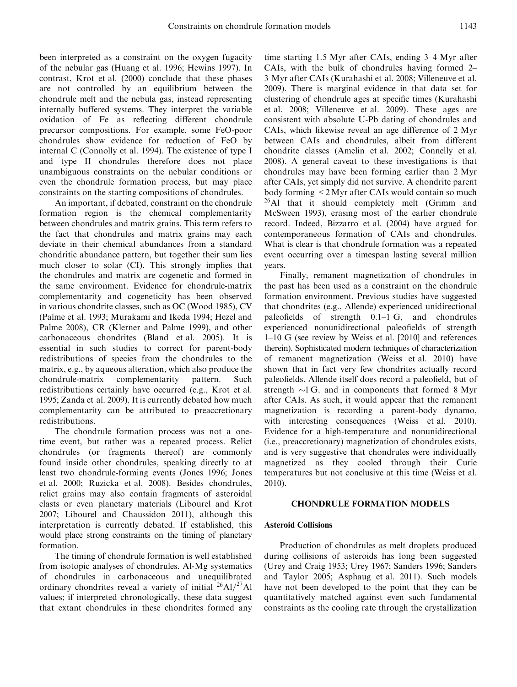been interpreted as a constraint on the oxygen fugacity of the nebular gas (Huang et al. 1996; Hewins 1997). In contrast, Krot et al. (2000) conclude that these phases are not controlled by an equilibrium between the chondrule melt and the nebula gas, instead representing internally buffered systems. They interpret the variable oxidation of Fe as reflecting different chondrule precursor compositions. For example, some FeO-poor chondrules show evidence for reduction of FeO by internal C (Connolly et al. 1994). The existence of type I and type II chondrules therefore does not place unambiguous constraints on the nebular conditions or even the chondrule formation process, but may place constraints on the starting compositions of chondrules.

An important, if debated, constraint on the chondrule formation region is the chemical complementarity between chondrules and matrix grains. This term refers to the fact that chondrules and matrix grains may each deviate in their chemical abundances from a standard chondritic abundance pattern, but together their sum lies much closer to solar (CI). This strongly implies that the chondrules and matrix are cogenetic and formed in the same environment. Evidence for chondrule-matrix complementarity and cogeneticity has been observed in various chondrite classes, such as OC (Wood 1985), CV (Palme et al. 1993; Murakami and Ikeda 1994; Hezel and Palme 2008), CR (Klerner and Palme 1999), and other carbonaceous chondrites (Bland et al. 2005). It is essential in such studies to correct for parent-body redistributions of species from the chondrules to the matrix, e.g., by aqueous alteration, which also produce the chondrule-matrix complementarity pattern. Such redistributions certainly have occurred (e.g., Krot et al. 1995; Zanda et al. 2009). It is currently debated how much complementarity can be attributed to preaccretionary redistributions.

The chondrule formation process was not a onetime event, but rather was a repeated process. Relict chondrules (or fragments thereof) are commonly found inside other chondrules, speaking directly to at least two chondrule-forming events (Jones 1996; Jones et al. 2000; Ruzicka et al. 2008). Besides chondrules, relict grains may also contain fragments of asteroidal clasts or even planetary materials (Libourel and Krot 2007; Libourel and Chaussidon 2011), although this interpretation is currently debated. If established, this would place strong constraints on the timing of planetary formation.

The timing of chondrule formation is well established from isotopic analyses of chondrules. Al-Mg systematics of chondrules in carbonaceous and unequilibrated ordinary chondrites reveal a variety of initial  $^{26}$ Al/<sup>27</sup>Al values; if interpreted chronologically, these data suggest that extant chondrules in these chondrites formed any time starting 1.5 Myr after CAIs, ending 3–4 Myr after CAIs, with the bulk of chondrules having formed 2– 3 Myr after CAIs (Kurahashi et al. 2008; Villeneuve et al. 2009). There is marginal evidence in that data set for clustering of chondrule ages at specific times (Kurahashi et al. 2008; Villeneuve et al. 2009). These ages are consistent with absolute U-Pb dating of chondrules and CAIs, which likewise reveal an age difference of 2 Myr between CAIs and chondrules, albeit from different chondrite classes (Amelin et al. 2002; Connelly et al. 2008). A general caveat to these investigations is that chondrules may have been forming earlier than 2 Myr after CAIs, yet simply did not survive. A chondrite parent body forming <2 Myr after CAIs would contain so much  $^{26}$ Al that it should completely melt (Grimm and McSween 1993), erasing most of the earlier chondrule record. Indeed, Bizzarro et al. (2004) have argued for contemporaneous formation of CAIs and chondrules. What is clear is that chondrule formation was a repeated event occurring over a timespan lasting several million years.

Finally, remanent magnetization of chondrules in the past has been used as a constraint on the chondrule formation environment. Previous studies have suggested that chondrites (e.g., Allende) experienced unidirectional paleofields of strength 0.1–1 G, and chondrules experienced nonunidirectional paleofields of strength 1–10 G (see review by Weiss et al. [2010] and references therein). Sophisticated modern techniques of characterization of remanent magnetization (Weiss et al. 2010) have shown that in fact very few chondrites actually record paleofields. Allende itself does record a paleofield, but of strength  $\sim$ 1 G, and in components that formed 8 Myr after CAIs. As such, it would appear that the remanent magnetization is recording a parent-body dynamo, with interesting consequences (Weiss et al. 2010). Evidence for a high-temperature and nonunidirectional (i.e., preaccretionary) magnetization of chondrules exists, and is very suggestive that chondrules were individually magnetized as they cooled through their Curie temperatures but not conclusive at this time (Weiss et al. 2010).

### CHONDRULE FORMATION MODELS

### Asteroid Collisions

Production of chondrules as melt droplets produced during collisions of asteroids has long been suggested (Urey and Craig 1953; Urey 1967; Sanders 1996; Sanders and Taylor 2005; Asphaug et al. 2011). Such models have not been developed to the point that they can be quantitatively matched against even such fundamental constraints as the cooling rate through the crystallization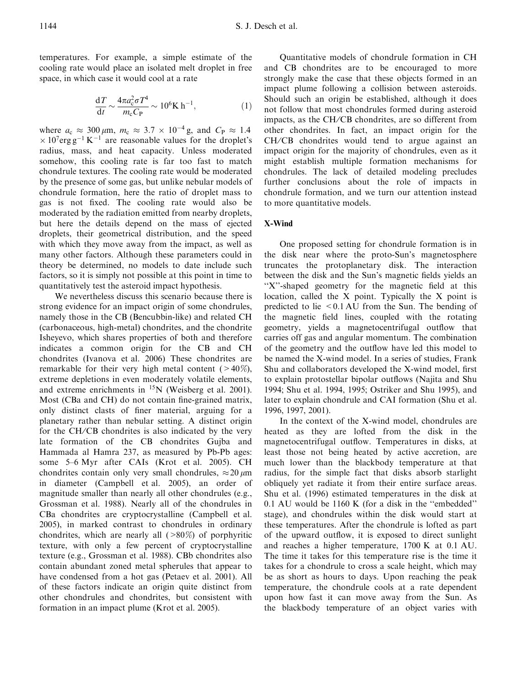temperatures. For example, a simple estimate of the cooling rate would place an isolated melt droplet in free space, in which case it would cool at a rate

$$
\frac{\mathrm{d}T}{\mathrm{d}t} \sim \frac{4\pi a_{\rm c}^2 \sigma T^4}{m_{\rm c} C_{\rm P}} \sim 10^6 \mathrm{K} \,\mathrm{h}^{-1},\tag{1}
$$

where  $a_c \approx 300 \,\mu\text{m}$ ,  $m_c \approx 3.7 \times 10^{-4} \,\text{g}$ , and  $C_P \approx 1.4$  $\times 10^{7}$ erg g<sup>-1</sup> K<sup>-1</sup> are reasonable values for the droplet's radius, mass, and heat capacity. Unless moderated somehow, this cooling rate is far too fast to match chondrule textures. The cooling rate would be moderated by the presence of some gas, but unlike nebular models of chondrule formation, here the ratio of droplet mass to gas is not fixed. The cooling rate would also be moderated by the radiation emitted from nearby droplets, but here the details depend on the mass of ejected droplets, their geometrical distribution, and the speed with which they move away from the impact, as well as many other factors. Although these parameters could in theory be determined, no models to date include such factors, so it is simply not possible at this point in time to quantitatively test the asteroid impact hypothesis.

We nevertheless discuss this scenario because there is strong evidence for an impact origin of some chondrules, namely those in the CB (Bencubbin-like) and related CH (carbonaceous, high-metal) chondrites, and the chondrite Isheyevo, which shares properties of both and therefore indicates a common origin for the CB and CH chondrites (Ivanova et al. 2006) These chondrites are remarkable for their very high metal content ( $>40\%$ ), extreme depletions in even moderately volatile elements, and extreme enrichments in  $^{15}N$  (Weisberg et al. 2001). Most (CBa and CH) do not contain fine-grained matrix, only distinct clasts of finer material, arguing for a planetary rather than nebular setting. A distinct origin for the CH/CB chondrites is also indicated by the very late formation of the CB chondrites Gujba and Hammada al Hamra 237, as measured by Pb-Pb ages: some 5–6 Myr after CAIs (Krot et al. 2005). CH chondrites contain only very small chondrules,  $\approx 20 \mu m$ in diameter (Campbell et al. 2005), an order of magnitude smaller than nearly all other chondrules (e.g., Grossman et al. 1988). Nearly all of the chondrules in CBa chondrites are cryptocrystalline (Campbell et al. 2005), in marked contrast to chondrules in ordinary chondrites, which are nearly all  $(>80\%)$  of porphyritic texture, with only a few percent of cryptocrystalline texture (e.g., Grossman et al. 1988). CBb chondrites also contain abundant zoned metal spherules that appear to have condensed from a hot gas (Petaev et al. 2001). All of these factors indicate an origin quite distinct from other chondrules and chondrites, but consistent with formation in an impact plume (Krot et al. 2005).

Quantitative models of chondrule formation in CH and CB chondrites are to be encouraged to more strongly make the case that these objects formed in an impact plume following a collision between asteroids. Should such an origin be established, although it does not follow that most chondrules formed during asteroid impacts, as the CH/CB chondrites, are so different from other chondrites. In fact, an impact origin for the CH/CB chondrites would tend to argue against an impact origin for the majority of chondrules, even as it might establish multiple formation mechanisms for chondrules. The lack of detailed modeling precludes further conclusions about the role of impacts in chondrule formation, and we turn our attention instead to more quantitative models.

## X-Wind

One proposed setting for chondrule formation is in the disk near where the proto-Sun's magnetosphere truncates the protoplanetary disk. The interaction between the disk and the Sun's magnetic fields yields an ''X''-shaped geometry for the magnetic field at this location, called the X point. Typically the X point is predicted to lie  $\leq 0.1$  AU from the Sun. The bending of the magnetic field lines, coupled with the rotating geometry, yields a magnetocentrifugal outflow that carries off gas and angular momentum. The combination of the geometry and the outflow have led this model to be named the X-wind model. In a series of studies, Frank Shu and collaborators developed the X-wind model, first to explain protostellar bipolar outflows (Najita and Shu 1994; Shu et al. 1994, 1995; Ostriker and Shu 1995), and later to explain chondrule and CAI formation (Shu et al. 1996, 1997, 2001).

In the context of the X-wind model, chondrules are heated as they are lofted from the disk in the magnetocentrifugal outflow. Temperatures in disks, at least those not being heated by active accretion, are much lower than the blackbody temperature at that radius, for the simple fact that disks absorb starlight obliquely yet radiate it from their entire surface areas. Shu et al. (1996) estimated temperatures in the disk at 0.1 AU would be 1160 K (for a disk in the ''embedded'' stage), and chondrules within the disk would start at these temperatures. After the chondrule is lofted as part of the upward outflow, it is exposed to direct sunlight and reaches a higher temperature, 1700 K at 0.1 AU. The time it takes for this temperature rise is the time it takes for a chondrule to cross a scale height, which may be as short as hours to days. Upon reaching the peak temperature, the chondrule cools at a rate dependent upon how fast it can move away from the Sun. As the blackbody temperature of an object varies with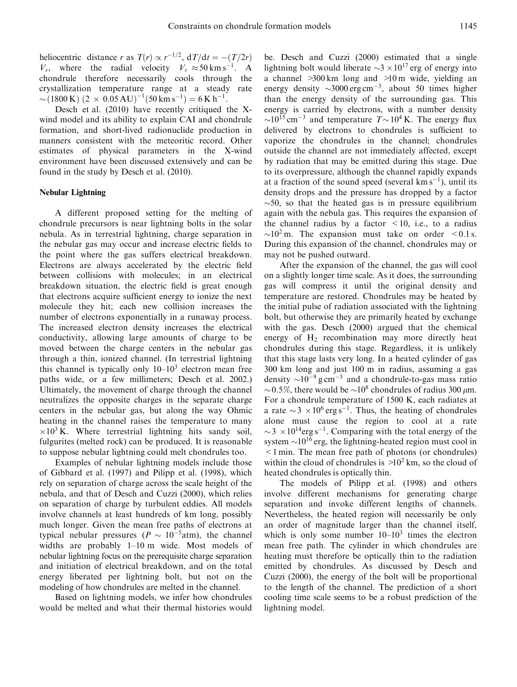heliocentric distance r as  $T(r) \propto r^{-1/2}$ ,  $dT/dt = -(T/2r)$  $V_r$ , where the radial velocity  $V_r \approx 50 \text{ km s}^{-1}$ . A chondrule therefore necessarily cools through the crystallization temperature range at a steady rate  $\sim$  (1800 K) (2 × 0.05 AU)<sup>-1</sup> (50 km s<sup>-1</sup>) = 6 K h<sup>-1</sup>.

Desch et al. (2010) have recently critiqued the Xwind model and its ability to explain CAI and chondrule formation, and short-lived radionuclide production in manners consistent with the meteoritic record. Other estimates of physical parameters in the X-wind environment have been discussed extensively and can be found in the study by Desch et al. (2010).

# Nebular Lightning

A different proposed setting for the melting of chondrule precursors is near lightning bolts in the solar nebula. As in terrestrial lightning, charge separation in the nebular gas may occur and increase electric fields to the point where the gas suffers electrical breakdown. Electrons are always accelerated by the electric field between collisions with molecules; in an electrical breakdown situation, the electric field is great enough that electrons acquire sufficient energy to ionize the next molecule they hit; each new collision increases the number of electrons exponentially in a runaway process. The increased electron density increases the electrical conductivity, allowing large amounts of charge to be moved between the charge centers in the nebular gas through a thin, ionized channel. (In terrestrial lightning this channel is typically only  $10-10<sup>3</sup>$  electron mean free paths wide, or a few millimeters; Desch et al. 2002.) Ultimately, the movement of charge through the channel neutralizes the opposite charges in the separate charge centers in the nebular gas, but along the way Ohmic heating in the channel raises the temperature to many  $\times 10^3$  K. Where terrestrial lightning hits sandy soil, fulgurites (melted rock) can be produced. It is reasonable to suppose nebular lightning could melt chondrules too.

Examples of nebular lightning models include those of Gibbard et al. (1997) and Pilipp et al. (1998), which rely on separation of charge across the scale height of the nebula, and that of Desch and Cuzzi (2000), which relies on separation of charge by turbulent eddies. All models involve channels at least hundreds of km long, possibly much longer. Given the mean free paths of electrons at typical nebular pressures ( $P \sim 10^{-5}$ atm), the channel widths are probably 1–10 m wide. Most models of nebular lightning focus on the prerequisite charge separation and initiation of electrical breakdown, and on the total energy liberated per lightning bolt, but not on the modeling of how chondrules are melted in the channel.

Based on lightning models, we infer how chondrules would be melted and what their thermal histories would

be. Desch and Cuzzi (2000) estimated that a single lightning bolt would liberate  $\sim$ 3  $\times 10^{17}$  erg of energy into a channel  $>300 \text{ km}$  long and  $>10 \text{ m}$  wide, yielding an energy density  $\sim$ 3000 erg cm<sup>-3</sup>, about 50 times higher than the energy density of the surrounding gas. This energy is carried by electrons, with a number density  $\sim$ 10<sup>15</sup> cm<sup>-3</sup> and temperature  $T \sim 10^4$  K. The energy flux delivered by electrons to chondrules is sufficient to vaporize the chondrules in the channel; chondrules outside the channel are not immediately affected, except by radiation that may be emitted during this stage. Due to its overpressure, although the channel rapidly expands at a fraction of the sound speed (several  $km s^{-1}$ ), until its density drops and the pressure has dropped by a factor  $\sim$  50, so that the heated gas is in pressure equilibrium again with the nebula gas. This requires the expansion of the channel radius by a factor  $\leq 10$ , i.e., to a radius  $\sim$ 10<sup>2</sup> m. The expansion must take on order < 0.1 s. During this expansion of the channel, chondrules may or may not be pushed outward.

After the expansion of the channel, the gas will cool on a slightly longer time scale. As it does, the surrounding gas will compress it until the original density and temperature are restored. Chondrules may be heated by the initial pulse of radiation associated with the lightning bolt, but otherwise they are primarily heated by exchange with the gas. Desch (2000) argued that the chemical energy of  $H_2$  recombination may more directly heat chondrules during this stage. Regardless, it is unlikely that this stage lasts very long. In a heated cylinder of gas 300 km long and just 100 m in radius, assuming a gas density  $\sim 10^{-9}$  g cm<sup>-3</sup> and a chondrule-to-gas mass ratio  $\sim$  0.5%, there would be  $\sim$ 10<sup>8</sup> chondrules of radius 300  $\mu$ m. For a chondrule temperature of 1500 K, each radiates at a rate  $\sim$  3  $\times$  10<sup>6</sup> erg s<sup>-1</sup>. Thus, the heating of chondrules alone must cause the region to cool at a rate  $\sim$ 3  $\times$ 10<sup>14</sup>erg s<sup>-1</sup>. Comparing with the total energy of the system  $\sim$ 10<sup>16</sup> erg, the lightning-heated region must cool in <1 min. The mean free path of photons (or chondrules) within the cloud of chondrules is  $>10^2$  km, so the cloud of heated chondrules is optically thin.

The models of Pilipp et al. (1998) and others involve different mechanisms for generating charge separation and invoke different lengths of channels. Nevertheless, the heated region will necessarily be only an order of magnitude larger than the channel itself, which is only some number  $10-10<sup>3</sup>$  times the electron mean free path. The cylinder in which chondrules are heating must therefore be optically thin to the radiation emitted by chondrules. As discussed by Desch and Cuzzi (2000), the energy of the bolt will be proportional to the length of the channel. The prediction of a short cooling time scale seems to be a robust prediction of the lightning model.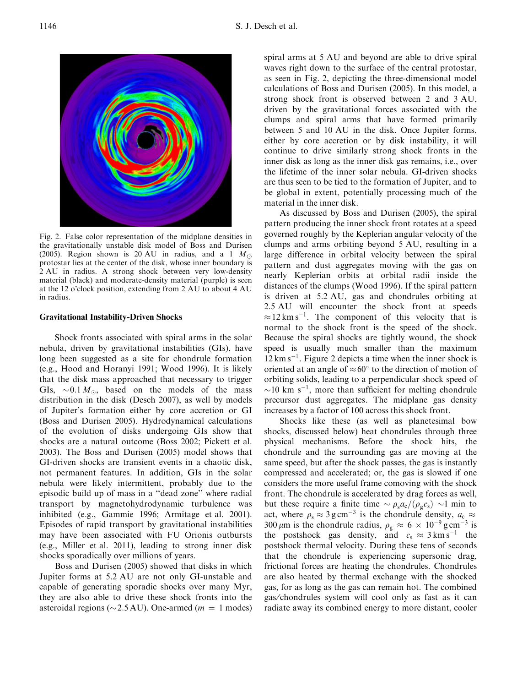

Fig. 2. False color representation of the midplane densities in the gravitationally unstable disk model of Boss and Durisen (2005). Region shown is 20 AU in radius, and a 1  $M_{\odot}$ protostar lies at the center of the disk, whose inner boundary is 2 AU in radius. A strong shock between very low-density material (black) and moderate-density material (purple) is seen at the 12 o'clock position, extending from 2 AU to about 4 AU in radius.

## Gravitational Instability-Driven Shocks

Shock fronts associated with spiral arms in the solar nebula, driven by gravitational instabilities (GIs), have long been suggested as a site for chondrule formation (e.g., Hood and Horanyi 1991; Wood 1996). It is likely that the disk mass approached that necessary to trigger GIs,  $\sim 0.1 M_{\odot}$ , based on the models of the mass distribution in the disk (Desch 2007), as well by models of Jupiter's formation either by core accretion or GI (Boss and Durisen 2005). Hydrodynamical calculations of the evolution of disks undergoing GIs show that shocks are a natural outcome (Boss 2002; Pickett et al. 2003). The Boss and Durisen (2005) model shows that GI-driven shocks are transient events in a chaotic disk, not permanent features. In addition, GIs in the solar nebula were likely intermittent, probably due to the episodic build up of mass in a ''dead zone'' where radial transport by magnetohydrodynamic turbulence was inhibited (e.g., Gammie 1996; Armitage et al. 2001). Episodes of rapid transport by gravitational instabilities may have been associated with FU Orionis outbursts (e.g., Miller et al. 2011), leading to strong inner disk shocks sporadically over millions of years.

Boss and Durisen (2005) showed that disks in which Jupiter forms at 5.2 AU are not only GI-unstable and capable of generating sporadic shocks over many Myr, they are also able to drive these shock fronts into the asteroidal regions ( $\sim$  2.5 AU). One-armed ( $m = 1$  modes)

spiral arms at 5 AU and beyond are able to drive spiral waves right down to the surface of the central protostar, as seen in Fig. 2, depicting the three-dimensional model calculations of Boss and Durisen (2005). In this model, a strong shock front is observed between 2 and 3 AU, driven by the gravitational forces associated with the clumps and spiral arms that have formed primarily between 5 and 10 AU in the disk. Once Jupiter forms, either by core accretion or by disk instability, it will continue to drive similarly strong shock fronts in the inner disk as long as the inner disk gas remains, i.e., over the lifetime of the inner solar nebula. GI-driven shocks are thus seen to be tied to the formation of Jupiter, and to be global in extent, potentially processing much of the material in the inner disk.

As discussed by Boss and Durisen (2005), the spiral pattern producing the inner shock front rotates at a speed governed roughly by the Keplerian angular velocity of the clumps and arms orbiting beyond 5 AU, resulting in a large difference in orbital velocity between the spiral pattern and dust aggregates moving with the gas on nearly Keplerian orbits at orbital radii inside the distances of the clumps (Wood 1996). If the spiral pattern is driven at 5.2 AU, gas and chondrules orbiting at 2.5 AU will encounter the shock front at speeds  $\approx$  12 km s<sup>-1</sup>. The component of this velocity that is normal to the shock front is the speed of the shock. Because the spiral shocks are tightly wound, the shock speed is usually much smaller than the maximum  $12 \text{ km s}^{-1}$ . Figure 2 depicts a time when the inner shock is oriented at an angle of  $\approx 60^{\circ}$  to the direction of motion of orbiting solids, leading to a perpendicular shock speed of  $\sim$ 10 km s<sup>-1</sup>, more than sufficient for melting chondrule precursor dust aggregates. The midplane gas density increases by a factor of 100 across this shock front.

Shocks like these (as well as planetesimal bow shocks, discussed below) heat chondrules through three physical mechanisms. Before the shock hits, the chondrule and the surrounding gas are moving at the same speed, but after the shock passes, the gas is instantly compressed and accelerated; or, the gas is slowed if one considers the more useful frame comoving with the shock front. The chondrule is accelerated by drag forces as well, but these require a finite time  $\sim \rho_s a_c/(\rho_g c_s) \sim 1$  min to act, where  $\rho_s \approx 3 \text{ g cm}^{-3}$  is the chondrule density,  $a_c \approx$ 300  $\mu$ m is the chondrule radius,  $\rho_g \approx 6 \times 10^{-9} \text{ g cm}^{-3}$  is the postshock gas density, and  $c_s \approx 3 \text{ km s}^{-1}$  the postshock thermal velocity. During these tens of seconds that the chondrule is experiencing supersonic drag, frictional forces are heating the chondrules. Chondrules are also heated by thermal exchange with the shocked gas, for as long as the gas can remain hot. The combined gas⁄ chondrules system will cool only as fast as it can radiate away its combined energy to more distant, cooler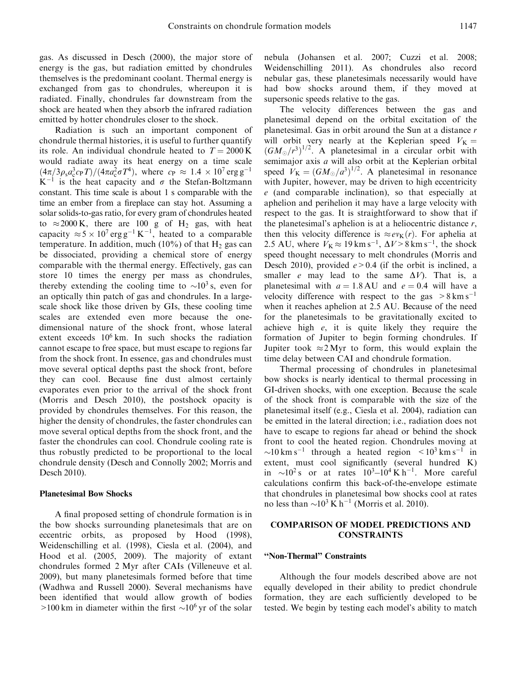gas. As discussed in Desch (2000), the major store of energy is the gas, but radiation emitted by chondrules themselves is the predominant coolant. Thermal energy is exchanged from gas to chondrules, whereupon it is radiated. Finally, chondrules far downstream from the shock are heated when they absorb the infrared radiation emitted by hotter chondrules closer to the shock.

Radiation is such an important component of chondrule thermal histories, it is useful to further quantify its role. An individual chondrule heated to  $T = 2000 \text{ K}$ would radiate away its heat energy on a time scale  $(4\pi/3\rho_s a_c^3 c_P T)/(4\pi a_c^2 \sigma T^4)$ , where  $c_P \approx 1.4 \times 10^7 \text{ erg g}^{-1}$  $K^{-1}$  is the heat capacity and  $\sigma$  the Stefan-Boltzmann constant. This time scale is about 1 s comparable with the time an ember from a fireplace can stay hot. Assuming a solar solids-to-gas ratio, for every gram of chondrules heated to  $\approx$  2000 K, there are 100 g of H<sub>2</sub> gas, with heat capacity  $\approx 5 \times 10^7$  erg g<sup>-1</sup> K<sup>-1</sup>, heated to a comparable temperature. In addition, much  $(10\%)$  of that  $H_2$  gas can be dissociated, providing a chemical store of energy comparable with the thermal energy. Effectively, gas can store 10 times the energy per mass as chondrules, thereby extending the cooling time to  $\sim 10^3$  s, even for an optically thin patch of gas and chondrules. In a largescale shock like those driven by GIs, these cooling time scales are extended even more because the onedimensional nature of the shock front, whose lateral extent exceeds  $10^6$  km. In such shocks the radiation cannot escape to free space, but must escape to regions far from the shock front. In essence, gas and chondrules must move several optical depths past the shock front, before they can cool. Because fine dust almost certainly evaporates even prior to the arrival of the shock front (Morris and Desch 2010), the postshock opacity is provided by chondrules themselves. For this reason, the higher the density of chondrules, the faster chondrules can move several optical depths from the shock front, and the faster the chondrules can cool. Chondrule cooling rate is thus robustly predicted to be proportional to the local chondrule density (Desch and Connolly 2002; Morris and Desch 2010).

#### Planetesimal Bow Shocks

A final proposed setting of chondrule formation is in the bow shocks surrounding planetesimals that are on eccentric orbits, as proposed by Hood (1998), Weidenschilling et al. (1998), Ciesla et al. (2004), and Hood et al. (2005, 2009). The majority of extant chondrules formed 2 Myr after CAIs (Villeneuve et al. 2009), but many planetesimals formed before that time (Wadhwa and Russell 2000). Several mechanisms have been identified that would allow growth of bodies  $>100$  km in diameter within the first  $\sim 10^6$  yr of the solar

nebula (Johansen et al. 2007; Cuzzi et al. 2008; Weidenschilling 2011). As chondrules also record nebular gas, these planetesimals necessarily would have had bow shocks around them, if they moved at supersonic speeds relative to the gas.

The velocity differences between the gas and planetesimal depend on the orbital excitation of the planetesimal. Gas in orbit around the Sun at a distance r will orbit very nearly at the Keplerian speed  $V_K =$  $(GM_{\odot}/r^3)^{1/2}$ . A planetesimal in a circular orbit with semimajor axis *a* will also orbit at the Keplerian orbital speed  $V_{\rm K} = (GM_{\odot}/a^3)^{1/2}$ . A planetesimal in resonance with Jupiter, however, may be driven to high eccentricity e (and comparable inclination), so that especially at aphelion and perihelion it may have a large velocity with respect to the gas. It is straightforward to show that if the planetesimal's aphelion is at a heliocentric distance  $r$ , then this velocity difference is  $\approx ev_{\mathbf{K}}(r)$ . For aphelia at 2.5 AU, where  $V_K \approx 19 \text{ km s}^{-1}$ ,  $\Delta V > 8 \text{ km s}^{-1}$ , the shock speed thought necessary to melt chondrules (Morris and Desch 2010), provided  $e > 0.4$  (if the orbit is inclined, a smaller e may lead to the same  $\Delta V$ ). That is, a planetesimal with  $a = 1.8 \text{ AU}$  and  $e = 0.4$  will have a velocity difference with respect to the gas  $>8 \text{ km s}^{-1}$ when it reaches aphelion at 2.5 AU. Because of the need for the planetesimals to be gravitationally excited to achieve high  $e$ , it is quite likely they require the formation of Jupiter to begin forming chondrules. If Jupiter took  $\approx$  2 Myr to form, this would explain the time delay between CAI and chondrule formation.

Thermal processing of chondrules in planetesimal bow shocks is nearly identical to thermal processing in GI-driven shocks, with one exception. Because the scale of the shock front is comparable with the size of the planetesimal itself (e.g., Ciesla et al. 2004), radiation can be emitted in the lateral direction; i.e., radiation does not have to escape to regions far ahead or behind the shock front to cool the heated region. Chondrules moving at  $\sim$ 10 km s<sup>-1</sup> through a heated region <10<sup>3</sup> km s<sup>-1</sup> in extent, must cool significantly (several hundred K) in  $\sim 10^2$  s or at rates  $10^3 - 10^4$  K h<sup>-1</sup>. More careful calculations confirm this back-of-the-envelope estimate that chondrules in planetesimal bow shocks cool at rates no less than  $\sim$ 10<sup>3</sup> K h<sup>-1</sup> (Morris et al. 2010).

# COMPARISON OF MODEL PREDICTIONS AND CONSTRAINTS

## ''Non-Thermal'' Constraints

Although the four models described above are not equally developed in their ability to predict chondrule formation, they are each sufficiently developed to be tested. We begin by testing each model's ability to match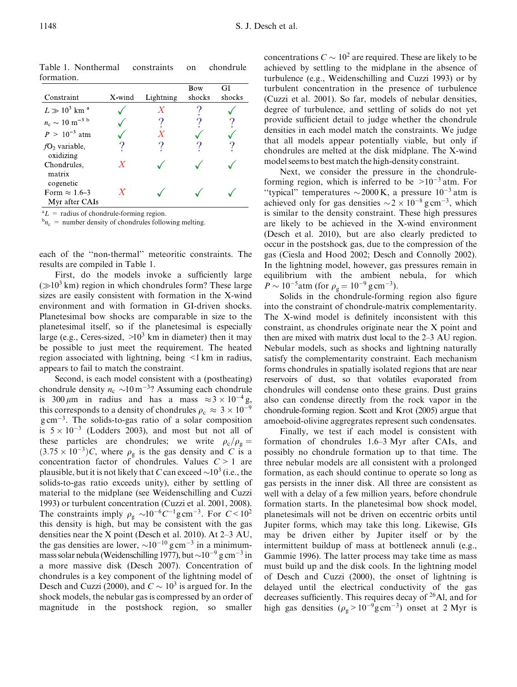| ormation.                              |        |           |            |        |  |  |  |  |
|----------------------------------------|--------|-----------|------------|--------|--|--|--|--|
|                                        |        |           | <b>Bow</b> | GI     |  |  |  |  |
| Constraint                             | X wind | Lightning | shocks     | shocks |  |  |  |  |
| $L \gg 10^3$ km <sup>a</sup>           |        |           |            |        |  |  |  |  |
| $n_c \sim 10 \text{ m}^{-3}$           |        |           |            |        |  |  |  |  |
| $P > 10^{-3}$ atm                      |        |           |            |        |  |  |  |  |
| $fO2$ variable,<br>oxidizing           |        |           |            |        |  |  |  |  |
| Chondrules.<br>matrix<br>cogenetic     | X      |           |            |        |  |  |  |  |
| Form $\approx 1.6-3$<br>Myr after CAIs |        |           |            |        |  |  |  |  |

Table 1. Nonthermal constraints on chondrule formation.

 ${}^aL$  = radius of chondrule-forming region.

 $b_{n_c}$  = number density of chondrules following melting.

each of the ''non-thermal'' meteoritic constraints. The results are compiled in Table 1.

First, do the models invoke a sufficiently large  $(\gg 10^3 \text{ km})$  region in which chondrules form? These large sizes are easily consistent with formation in the X-wind environment and with formation in GI-driven shocks. Planetesimal bow shocks are comparable in size to the planetesimal itself, so if the planetesimal is especially large (e.g., Ceres-sized,  $>10^3$  km in diameter) then it may be possible to just meet the requirement. The heated region associated with lightning, being <1 km in radius, appears to fail to match the constraint.

Second, is each model consistent with a (postheating) chondrule density  $n_c \sim 10 \,\mathrm{m}^{-3}$ ? Assuming each chondrule is 300  $\mu$ m in radius and has a mass  $\approx 3 \times 10^{-4}$  g, this corresponds to a density of chondrules  $\rho_c \approx 3 \times 10^{-9}$  $g \text{ cm}^{-3}$ . The solids-to-gas ratio of a solar composition is  $5 \times 10^{-3}$  (Lodders 2003), and most but not all of these particles are chondrules; we write  $\rho_c/\rho_g =$  $(3.75 \times 10^{-3})C$ , where  $\rho_{\rm g}$  is the gas density and C is a concentration factor of chondrules. Values  $C > 1$  are plausible, but it is not likely that C can exceed  $\sim$  10<sup>3</sup> (i.e., the solids-to-gas ratio exceeds unity), either by settling of material to the midplane (see Weidenschilling and Cuzzi 1993) or turbulent concentration (Cuzzi et al. 2001, 2008). The constraints imply  $\rho_g \sim 10^{-6} C^{-1} \text{g cm}^{-3}$ . For  $C \le 10^2$ this density is high, but may be consistent with the gas densities near the X point (Desch et al. 2010). At 2–3 AU, the gas densities are lower,  $\sim 10^{-10}$  g cm<sup>-3</sup> in a minimummass solar nebula (Weidenschilling 1977), but  $\sim$ 10<sup>-9</sup> g cm<sup>-3</sup> in a more massive disk (Desch 2007). Concentration of chondrules is a key component of the lightning model of Desch and Cuzzi (2000), and  $C \sim 10^3$  is argued for. In the shock models, the nebular gas is compressed by an order of magnitude in the postshock region, so smaller

concentrations  $C \sim 10^2$  are required. These are likely to be achieved by settling to the midplane in the absence of turbulence (e.g., Weidenschilling and Cuzzi 1993) or by turbulent concentration in the presence of turbulence (Cuzzi et al. 2001). So far, models of nebular densities, degree of turbulence, and settling of solids do not yet provide sufficient detail to judge whether the chondrule densities in each model match the constraints. We judge that all models appear potentially viable, but only if chondrules are melted at the disk midplane. The X-wind model seems to best match the high-density constraint.

Next, we consider the pressure in the chondruleforming region, which is inferred to be  $>10^{-3}$  atm. For "typical" temperatures  $\sim$  2000 K, a pressure 10<sup>-3</sup> atm is achieved only for gas densities  $\sim 2 \times 10^{-8}$  g cm<sup>-3</sup>, which is similar to the density constraint. These high pressures are likely to be achieved in the X-wind environment (Desch et al. 2010), but are also clearly predicted to occur in the postshock gas, due to the compression of the gas (Ciesla and Hood 2002; Desch and Connolly 2002). In the lightning model, however, gas pressures remain in equilibrium with the ambient nebula, for which  $P \sim 10^{-5}$ atm (for  $\rho_{\rm g} = 10^{-9}$  g cm<sup>-3</sup>).

Solids in the chondrule-forming region also figure into the constraint of chondrule-matrix complementarity. The X-wind model is definitely inconsistent with this constraint, as chondrules originate near the X point and then are mixed with matrix dust local to the 2–3 AU region. Nebular models, such as shocks and lightning naturally satisfy the complementarity constraint. Each mechanism forms chondrules in spatially isolated regions that are near reservoirs of dust, so that volatiles evaporated from chondrules will condense onto these grains. Dust grains also can condense directly from the rock vapor in the chondrule-forming region. Scott and Krot (2005) argue that amoeboid-olivine aggregrates represent such condensates.

Finally, we test if each model is consistent with formation of chondrules 1.6–3 Myr after CAIs, and possibly no chondrule formation up to that time. The three nebular models are all consistent with a prolonged formation, as each should continue to operate so long as gas persists in the inner disk. All three are consistent as well with a delay of a few million years, before chondrule formation starts. In the planetesimal bow shock model, planetesimals will not be driven on eccentric orbits until Jupiter forms, which may take this long. Likewise, GIs may be driven either by Jupiter itself or by the intermittent buildup of mass at bottleneck annuli (e.g., Gammie 1996). The latter process may take time as mass must build up and the disk cools. In the lightning model of Desch and Cuzzi (2000), the onset of lightning is delayed until the electrical conductivity of the gas decreases sufficiently. This requires decay of 26Al, and for high gas densities  $(\rho_g > 10^{-9} \text{g cm}^{-3})$  onset at 2 Myr is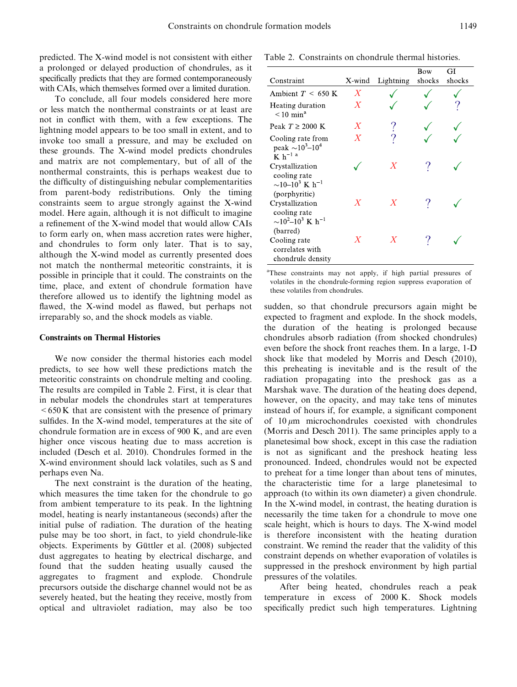predicted. The X-wind model is not consistent with either a prolonged or delayed production of chondrules, as it specifically predicts that they are formed contemporaneously with CAIs, which themselves formed over a limited duration.

To conclude, all four models considered here more or less match the nonthermal constraints or at least are not in conflict with them, with a few exceptions. The lightning model appears to be too small in extent, and to invoke too small a pressure, and may be excluded on these grounds. The X-wind model predicts chondrules and matrix are not complementary, but of all of the nonthermal constraints, this is perhaps weakest due to the difficulty of distinguishing nebular complementarities from parent-body redistributions. Only the timing constraints seem to argue strongly against the X-wind model. Here again, although it is not difficult to imagine a refinement of the X-wind model that would allow CAIs to form early on, when mass accretion rates were higher, and chondrules to form only later. That is to say, although the X-wind model as currently presented does not match the nonthermal meteoritic constraints, it is possible in principle that it could. The constraints on the time, place, and extent of chondrule formation have therefore allowed us to identify the lightning model as flawed, the X-wind model as flawed, but perhaps not irreparably so, and the shock models as viable.

### Constraints on Thermal Histories

We now consider the thermal histories each model predicts, to see how well these predictions match the meteoritic constraints on chondrule melting and cooling. The results are compiled in Table 2. First, it is clear that in nebular models the chondrules start at temperatures  $<$  650 K that are consistent with the presence of primary sulfides. In the X-wind model, temperatures at the site of chondrule formation are in excess of 900 K, and are even higher once viscous heating due to mass accretion is included (Desch et al. 2010). Chondrules formed in the X-wind environment should lack volatiles, such as S and perhaps even Na.

The next constraint is the duration of the heating, which measures the time taken for the chondrule to go from ambient temperature to its peak. In the lightning model, heating is nearly instantaneous (seconds) after the initial pulse of radiation. The duration of the heating pulse may be too short, in fact, to yield chondrule-like objects. Experiments by Güttler et al. (2008) subjected dust aggregates to heating by electrical discharge, and found that the sudden heating usually caused the aggregates to fragment and explode. Chondrule precursors outside the discharge channel would not be as severely heated, but the heating they receive, mostly from optical and ultraviolet radiation, may also be too

Table 2. Constraints on chondrule thermal histories.

|                                                                                                          |                  |                  | Bow    | GI     |
|----------------------------------------------------------------------------------------------------------|------------------|------------------|--------|--------|
| Constraint                                                                                               | X wind           | Lightning        | shocks | shocks |
| Ambient $T \leq 650$ K                                                                                   | Х                |                  |        |        |
| Heating duration<br>$\leq 10$ min <sup>a</sup>                                                           | Х                |                  |        |        |
| Peak $T \ge 2000$ K                                                                                      | X                |                  |        |        |
| Cooling rate from<br>peak $\sim 10^3 - 10^4$<br>$K$ h <sup>-1 a</sup>                                    | $\boldsymbol{X}$ |                  |        |        |
| Crystallization<br>cooling rate<br>$\sim$ 10–10 <sup>3</sup> K h <sup>-1</sup><br>(porphyritic)          |                  | X                |        |        |
| Crystallization<br>cooling rate<br>$\sim$ 10 <sup>2</sup> -10 <sup>3</sup> K h <sup>-1</sup><br>(barred) | $\boldsymbol{X}$ | $\boldsymbol{X}$ |        |        |
| Cooling rate<br>correlates with<br>chondrule density                                                     | X                | X                |        |        |

<sup>a</sup>These constraints may not apply, if high partial pressures of volatiles in the chondrule-forming region suppress evaporation of these volatiles from chondrules.

sudden, so that chondrule precursors again might be expected to fragment and explode. In the shock models, the duration of the heating is prolonged because chondrules absorb radiation (from shocked chondrules) even before the shock front reaches them. In a large, 1-D shock like that modeled by Morris and Desch (2010), this preheating is inevitable and is the result of the radiation propagating into the preshock gas as a Marshak wave. The duration of the heating does depend, however, on the opacity, and may take tens of minutes instead of hours if, for example, a significant component of  $10 \mu m$  microchondrules coexisted with chondrules (Morris and Desch 2011). The same principles apply to a planetesimal bow shock, except in this case the radiation is not as significant and the preshock heating less pronounced. Indeed, chondrules would not be expected to preheat for a time longer than about tens of minutes, the characteristic time for a large planetesimal to approach (to within its own diameter) a given chondrule. In the X-wind model, in contrast, the heating duration is necessarily the time taken for a chondrule to move one scale height, which is hours to days. The X-wind model is therefore inconsistent with the heating duration constraint. We remind the reader that the validity of this constraint depends on whether evaporation of volatiles is suppressed in the preshock environment by high partial pressures of the volatiles.

After being heated, chondrules reach a peak temperature in excess of 2000 K. Shock models specifically predict such high temperatures. Lightning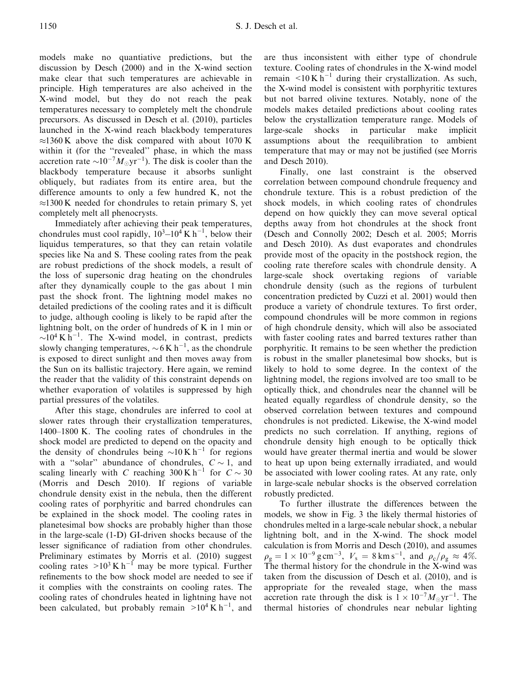models make no quantiative predictions, but the discussion by Desch (2000) and in the X-wind section make clear that such temperatures are achievable in principle. High temperatures are also acheived in the X-wind model, but they do not reach the peak temperatures necessary to completely melt the chondrule precursors. As discussed in Desch et al. (2010), particles launched in the X-wind reach blackbody temperatures  $\approx$ 1360 K above the disk compared with about 1070 K within it (for the ''revealed'' phase, in which the mass accretion rate  $\sim 10^{-7} M_{\odot} \text{yr}^{-1}$ ). The disk is cooler than the blackbody temperature because it absorbs sunlight obliquely, but radiates from its entire area, but the difference amounts to only a few hundred K, not the  $\approx$ 1300 K needed for chondrules to retain primary S, yet completely melt all phenocrysts.

Immediately after achieving their peak temperatures, chondrules must cool rapidly,  $10^3 - 10^4$  K h<sup>-1</sup>, below their liquidus temperatures, so that they can retain volatile species like Na and S. These cooling rates from the peak are robust predictions of the shock models, a result of the loss of supersonic drag heating on the chondrules after they dynamically couple to the gas about 1 min past the shock front. The lightning model makes no detailed predictions of the cooling rates and it is difficult to judge, although cooling is likely to be rapid after the lightning bolt, on the order of hundreds of K in 1 min or  $\sim$ 10<sup>4</sup> K h<sup>-1</sup>. The X-wind model, in contrast, predicts slowly changing temperatures,  $\sim$  6 K h<sup>-1</sup>, as the chondrule is exposed to direct sunlight and then moves away from the Sun on its ballistic trajectory. Here again, we remind the reader that the validity of this constraint depends on whether evaporation of volatiles is suppressed by high partial pressures of the volatiles.

After this stage, chondrules are inferred to cool at slower rates through their crystallization temperatures, 1400–1800 K. The cooling rates of chondrules in the shock model are predicted to depend on the opacity and the density of chondrules being  $\sim 10 \text{ K h}^{-1}$  for regions with a "solar" abundance of chondrules,  $C \sim 1$ , and scaling linearly with C reaching  $300 \text{ K h}^{-1}$  for  $C \sim 30$ (Morris and Desch 2010). If regions of variable chondrule density exist in the nebula, then the different cooling rates of porphyritic and barred chondrules can be explained in the shock model. The cooling rates in planetesimal bow shocks are probably higher than those in the large-scale (1-D) GI-driven shocks because of the lesser significance of radiation from other chondrules. Preliminary estimates by Morris et al. (2010) suggest cooling rates  $>10^3$  K h<sup>-1</sup> may be more typical. Further refinements to the bow shock model are needed to see if it complies with the constraints on cooling rates. The cooling rates of chondrules heated in lightning have not been calculated, but probably remain  $>10^4$  K h<sup>-1</sup>, and

are thus inconsistent with either type of chondrule texture. Cooling rates of chondrules in the X-wind model remain  $\leq 10$  K h<sup>-1</sup> during their crystallization. As such, the X-wind model is consistent with porphyritic textures but not barred olivine textures. Notably, none of the models makes detailed predictions about cooling rates below the crystallization temperature range. Models of large-scale shocks in particular make implicit assumptions about the reequilibration to ambient temperature that may or may not be justified (see Morris and Desch 2010).

Finally, one last constraint is the observed correlation between compound chondrule frequency and chondrule texture. This is a robust prediction of the shock models, in which cooling rates of chondrules depend on how quickly they can move several optical depths away from hot chondrules at the shock front (Desch and Connolly 2002; Desch et al. 2005; Morris and Desch 2010). As dust evaporates and chondrules provide most of the opacity in the postshock region, the cooling rate therefore scales with chondrule density. A large-scale shock overtaking regions of variable chondrule density (such as the regions of turbulent concentration predicted by Cuzzi et al. 2001) would then produce a variety of chondrule textures. To first order, compound chondrules will be more common in regions of high chondrule density, which will also be associated with faster cooling rates and barred textures rather than porphyritic. It remains to be seen whether the prediction is robust in the smaller planetesimal bow shocks, but is likely to hold to some degree. In the context of the lightning model, the regions involved are too small to be optically thick, and chondrules near the channel will be heated equally regardless of chondrule density, so the observed correlation between textures and compound chondrules is not predicted. Likewise, the X-wind model predicts no such correlation. If anything, regions of chondrule density high enough to be optically thick would have greater thermal inertia and would be slower to heat up upon being externally irradiated, and would be associated with lower cooling rates. At any rate, only in large-scale nebular shocks is the observed correlation robustly predicted.

To further illustrate the differences between the models, we show in Fig. 3 the likely thermal histories of chondrules melted in a large-scale nebular shock, a nebular lightning bolt, and in the X-wind. The shock model calculation is from Morris and Desch (2010), and assumes  $\rho_{\rm g} = 1 \times 10^{-9} \, \text{g} \text{ cm}^{-3}, \ V_{\rm s} = 8 \text{ km s}^{-1}, \text{ and } \rho_{\rm c}/\rho_{\rm g} \approx 4\%$ . The thermal history for the chondrule in the X-wind was taken from the discussion of Desch et al. (2010), and is appropriate for the revealed stage, when the mass accretion rate through the disk is  $1 \times 10^{-7} M_{\odot} \text{yr}^{-1}$ . The thermal histories of chondrules near nebular lighting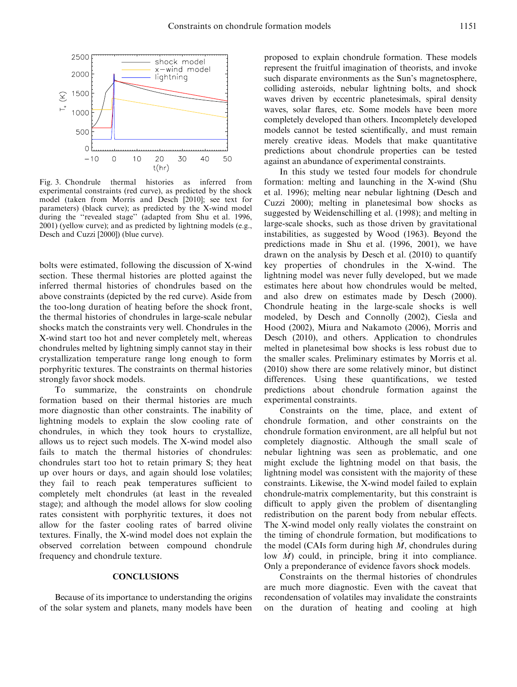

Fig. 3. Chondrule thermal histories as inferred from experimental constraints (red curve), as predicted by the shock model (taken from Morris and Desch [2010]; see text for parameters) (black curve); as predicted by the X-wind model during the ''revealed stage'' (adapted from Shu et al. 1996, 2001) (yellow curve); and as predicted by lightning models (e.g., Desch and Cuzzi [2000]) (blue curve).

bolts were estimated, following the discussion of X-wind section. These thermal histories are plotted against the inferred thermal histories of chondrules based on the above constraints (depicted by the red curve). Aside from the too-long duration of heating before the shock front, the thermal histories of chondrules in large-scale nebular shocks match the constraints very well. Chondrules in the X-wind start too hot and never completely melt, whereas chondrules melted by lightning simply cannot stay in their crystallization temperature range long enough to form porphyritic textures. The constraints on thermal histories strongly favor shock models.

To summarize, the constraints on chondrule formation based on their thermal histories are much more diagnostic than other constraints. The inability of lightning models to explain the slow cooling rate of chondrules, in which they took hours to crystallize, allows us to reject such models. The X-wind model also fails to match the thermal histories of chondrules: chondrules start too hot to retain primary S; they heat up over hours or days, and again should lose volatiles; they fail to reach peak temperatures sufficient to completely melt chondrules (at least in the revealed stage); and although the model allows for slow cooling rates consistent with porphyritic textures, it does not allow for the faster cooling rates of barred olivine textures. Finally, the X-wind model does not explain the observed correlation between compound chondrule frequency and chondrule texture.

#### **CONCLUSIONS**

Because of its importance to understanding the origins of the solar system and planets, many models have been proposed to explain chondrule formation. These models represent the fruitful imagination of theorists, and invoke such disparate environments as the Sun's magnetosphere, colliding asteroids, nebular lightning bolts, and shock waves driven by eccentric planetesimals, spiral density waves, solar flares, etc. Some models have been more completely developed than others. Incompletely developed models cannot be tested scientifically, and must remain merely creative ideas. Models that make quantitative predictions about chondrule properties can be tested against an abundance of experimental constraints.

In this study we tested four models for chondrule formation: melting and launching in the X-wind (Shu et al. 1996); melting near nebular lightning (Desch and Cuzzi 2000); melting in planetesimal bow shocks as suggested by Weidenschilling et al. (1998); and melting in large-scale shocks, such as those driven by gravitational instabilities, as suggested by Wood (1963). Beyond the predictions made in Shu et al. (1996, 2001), we have drawn on the analysis by Desch et al. (2010) to quantify key properties of chondrules in the X-wind. The lightning model was never fully developed, but we made estimates here about how chondrules would be melted, and also drew on estimates made by Desch (2000). Chondrule heating in the large-scale shocks is well modeled, by Desch and Connolly (2002), Ciesla and Hood (2002), Miura and Nakamoto (2006), Morris and Desch (2010), and others. Application to chondrules melted in planetesimal bow shocks is less robust due to the smaller scales. Preliminary estimates by Morris et al. (2010) show there are some relatively minor, but distinct differences. Using these quantifications, we tested predictions about chondrule formation against the experimental constraints.

Constraints on the time, place, and extent of chondrule formation, and other constraints on the chondrule formation environment, are all helpful but not completely diagnostic. Although the small scale of nebular lightning was seen as problematic, and one might exclude the lightning model on that basis, the lightning model was consistent with the majority of these constraints. Likewise, the X-wind model failed to explain chondrule-matrix complementarity, but this constraint is difficult to apply given the problem of disentangling redistribution on the parent body from nebular effects. The X-wind model only really violates the constraint on the timing of chondrule formation, but modifications to the model (CAIs form during high  $M$ , chondrules during low  $M$ ) could, in principle, bring it into compliance. Only a preponderance of evidence favors shock models.

Constraints on the thermal histories of chondrules are much more diagnostic. Even with the caveat that recondensation of volatiles may invalidate the constraints on the duration of heating and cooling at high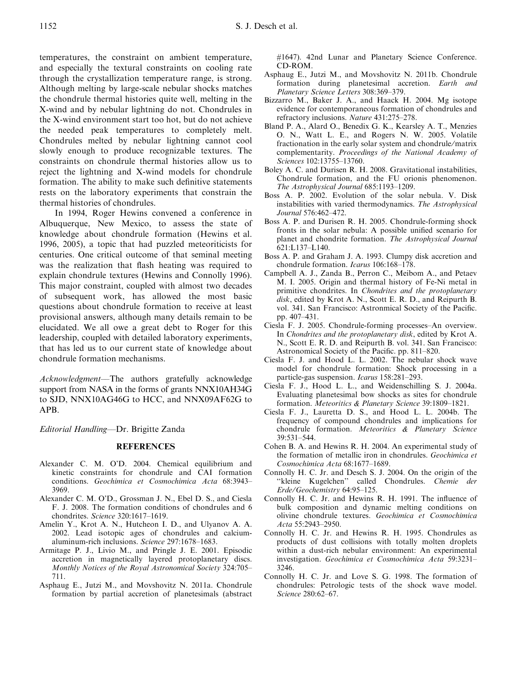temperatures, the constraint on ambient temperature, and especially the textural constraints on cooling rate through the crystallization temperature range, is strong. Although melting by large-scale nebular shocks matches the chondrule thermal histories quite well, melting in the X-wind and by nebular lightning do not. Chondrules in the X-wind environment start too hot, but do not achieve the needed peak temperatures to completely melt. Chondrules melted by nebular lightning cannot cool slowly enough to produce recognizable textures. The constraints on chondrule thermal histories allow us to reject the lightning and X-wind models for chondrule formation. The ability to make such definitive statements rests on the laboratory experiments that constrain the thermal histories of chondrules.

In 1994, Roger Hewins convened a conference in Albuquerque, New Mexico, to assess the state of knowledge about chondrule formation (Hewins et al. 1996, 2005), a topic that had puzzled meteoriticists for centuries. One critical outcome of that seminal meeting was the realization that flash heating was required to explain chondrule textures (Hewins and Connolly 1996). This major constraint, coupled with almost two decades of subsequent work, has allowed the most basic questions about chondrule formation to receive at least provisional answers, although many details remain to be elucidated. We all owe a great debt to Roger for this leadership, coupled with detailed laboratory experiments, that has led us to our current state of knowledge about chondrule formation mechanisms.

Acknowledgment-The authors gratefully acknowledge support from NASA in the forms of grants NNX10AH34G to SJD, NNX10AG46G to HCC, and NNX09AF62G to APB.

Editorial Handling––Dr. Brigitte Zanda

## REFERENCES

- Alexander C. M. O'D. 2004. Chemical equilibrium and kinetic constraints for chondrule and CAI formation conditions. Geochimica et Cosmochimica Acta 68:3943– 3969.
- Alexander C. M. O'D., Grossman J. N., Ebel D. S., and Ciesla F. J. 2008. The formation conditions of chondrules and 6 chondrites. Science 320:1617–1619.
- Amelin Y., Krot A. N., Hutcheon I. D., and Ulyanov A. A. 2002. Lead isotopic ages of chondrules and calciumaluminum-rich inclusions. Science 297:1678–1683.
- Armitage P. J., Livio M., and Pringle J. E. 2001. Episodic accretion in magnetically layered protoplanetary discs. Monthly Notices of the Royal Astronomical Society 324:705– 711.
- Asphaug E., Jutzi M., and Movshovitz N. 2011a. Chondrule formation by partial accretion of planetesimals (abstract

#1647). 42nd Lunar and Planetary Science Conference. CD-ROM.

- Asphaug E., Jutzi M., and Movshovitz N. 2011b. Chondrule formation during planetesimal accretion. Earth and Planetary Science Letters 308:369–379.
- Bizzarro M., Baker J. A., and Haack H. 2004. Mg isotope evidence for contemporaneous formation of chondrules and refractory inclusions. Nature 431:275–278.
- Bland P. A., Alard O., Benedix G. K., Kearsley A. T., Menzies O. N., Watt L. E., and Rogers N. W. 2005. Volatile fractionation in the early solar system and chondrule ⁄ matrix complementarity. Proceedings of the National Academy of Sciences 102:13755–13760.
- Boley A. C. and Durisen R. H. 2008. Gravitational instabilities, Chondrule formation, and the FU orionis phenomenon. The Astrophysical Journal 685:1193–1209.
- Boss A. P. 2002. Evolution of the solar nebula. V. Disk instabilities with varied thermodynamics. The Astrophysical Journal 576:462–472.
- Boss A. P. and Durisen R. H. 2005. Chondrule-forming shock fronts in the solar nebula: A possible unified scenario for planet and chondrite formation. The Astrophysical Journal 621:L137–L140.
- Boss A. P. and Graham J. A. 1993. Clumpy disk accretion and chondrule formation. Icarus 106:168–178.
- Campbell A. J., Zanda B., Perron C., Meibom A., and Petaev M. I. 2005. Origin and thermal history of Fe-Ni metal in primitive chondrites. In Chondrites and the protoplanetary disk, edited by Krot A. N., Scott E. R. D., and Reipurth B. vol. 341. San Francisco: Astronmical Society of the Pacific. pp. 407–431.
- Ciesla F. J. 2005. Chondrule-forming processes–An overview. In Chondrites and the protoplanetary disk, edited by Krot A. N., Scott E. R. D. and Reipurth B. vol. 341. San Francisco: Astronomical Society of the Pacific. pp. 811–820.
- Ciesla F. J. and Hood L. L. 2002. The nebular shock wave model for chondrule formation: Shock processing in a particle-gas suspension. Icarus 158:281–293.
- Ciesla F. J., Hood L. L., and Weidenschilling S. J. 2004a. Evaluating planetesimal bow shocks as sites for chondrule formation. Meteoritics & Planetary Science 39:1809–1821.
- Ciesla F. J., Lauretta D. S., and Hood L. L. 2004b. The frequency of compound chondrules and implications for chondrule formation. Meteoritics & Planetary Science 39:531–544.
- Cohen B. A. and Hewins R. H. 2004. An experimental study of the formation of metallic iron in chondrules. Geochimica et Cosmochimica Acta 68:1677–1689.
- Connolly H. C. Jr. and Desch S. J. 2004. On the origin of the "kleine Kugelchen" called Chondrules. Chemie der Erde ⁄ Geochemistry 64:95–125.
- Connolly H. C. Jr. and Hewins R. H. 1991. The influence of bulk composition and dynamic melting conditions on olivine chondrule textures. Geochimica et Cosmochimica Acta 55:2943–2950.
- Connolly H. C. Jr. and Hewins R. H. 1995. Chondrules as products of dust collisions with totally molten droplets within a dust-rich nebular environment: An experimental investigation. Geochimica et Cosmochimica Acta 59:3231– 3246.
- Connolly H. C. Jr. and Love S. G. 1998. The formation of chondrules: Petrologic tests of the shock wave model. Science 280:62–67.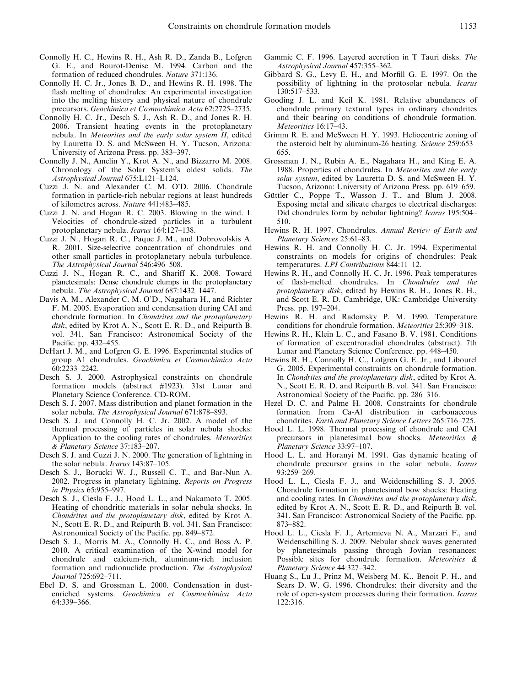- Connolly H. C., Hewins R. H., Ash R. D., Zanda B., Lofgren G. E., and Bourot-Denise M. 1994. Carbon and the formation of reduced chondrules. Nature 371:136.
- Connolly H. C. Jr., Jones B. D., and Hewins R. H. 1998. The flash melting of chondrules: An experimental investigation into the melting history and physical nature of chondrule precursors. Geochimica et Cosmochimica Acta 62:2725–2735.
- Connolly H. C. Jr., Desch S. J., Ash R. D., and Jones R. H. 2006. Transient heating events in the protoplanetary nebula. In Meteorites and the early solar system II, edited by Lauretta D. S. and McSween H. Y. Tucson, Arizona: University of Arizona Press. pp. 383–397.
- Connelly J. N., Amelin Y., Krot A. N., and Bizzarro M. 2008. Chronology of the Solar System's oldest solids. The Astrophysical Journal 675:L121–L124.
- Cuzzi J. N. and Alexander C. M. O'D. 2006. Chondrule formation in particle-rich nebular regions at least hundreds of kilometres across. Nature 441:483–485.
- Cuzzi J. N. and Hogan R. C. 2003. Blowing in the wind. I. Velocities of chondrule-sized particles in a turbulent protoplanetary nebula. Icarus 164:127–138.
- Cuzzi J. N., Hogan R. C., Paque J. M., and Dobrovolskis A. R. 2001. Size-selective concentration of chondrules and other small particles in protoplanetary nebula turbulence. The Astrophysical Journal 546:496–508.
- Cuzzi J. N., Hogan R. C., and Shariff K. 2008. Toward planetesimals: Dense chondrule clumps in the protoplanetary nebula. The Astrophysical Journal 687:1432–1447.
- Davis A. M., Alexander C. M. O'D., Nagahara H., and Richter F. M. 2005. Evaporation and condensation during CAI and chondrule formation. In Chondrites and the protoplanetary disk, edited by Krot A. N., Scott E. R. D., and Reipurth B. vol. 341. San Francisco: Astronomical Society of the Pacific. pp. 432–455.
- DeHart J. M., and Lofgren G. E. 1996. Experimental studies of group A1 chondrules. Geochimica et Cosmochimica Acta 60:2233–2242.
- Desch S. J. 2000. Astrophysical constraints on chondrule formation models (abstract #1923). 31st Lunar and Planetary Science Conference. CD-ROM.
- Desch S. J. 2007. Mass distribution and planet formation in the solar nebula. The Astrophysical Journal 671:878–893.
- Desch S. J. and Connolly H. C. Jr. 2002. A model of the thermal processing of particles in solar nebula shocks: Application to the cooling rates of chondrules. Meteoritics & Planetary Science 37:183–207.
- Desch S. J. and Cuzzi J. N. 2000. The generation of lightning in the solar nebula. Icarus 143:87–105.
- Desch S. J., Borucki W. J., Russell C. T., and Bar-Nun A. 2002. Progress in planetary lightning. Reports on Progress in Physics 65:955–997.
- Desch S. J., Ciesla F. J., Hood L. L., and Nakamoto T. 2005. Heating of chondritic materials in solar nebula shocks. In Chondrites and the protoplanetary disk, edited by Krot A. N., Scott E. R. D., and Reipurth B. vol. 341. San Francisco: Astronomical Society of the Pacific. pp. 849–872.
- Desch S. J., Morris M. A., Connolly H. C., and Boss A. P. 2010. A critical examination of the X-wind model for chondrule and calcium-rich, aluminum-rich inclusion formation and radionuclide production. The Astrophysical Journal 725:692–711.
- Ebel D. S. and Grossman L. 2000. Condensation in dustenriched systems. Geochimica et Cosmochimica Acta 64:339–366.
- Gammie C. F. 1996. Layered accretion in T Tauri disks. The Astrophysical Journal 457:355–362.
- Gibbard S. G., Levy E. H., and Morfill G. E. 1997. On the possibility of lightning in the protosolar nebula. Icarus 130:517–533.
- Gooding J. L. and Keil K. 1981. Relative abundances of chondrule primary textural types in ordinary chondrites and their bearing on conditions of chondrule formation. Meteoritics 16:17–43.
- Grimm R. E. and McSween H. Y. 1993. Heliocentric zoning of the asteroid belt by aluminum-26 heating. Science 259:653– 655.
- Grossman J. N., Rubin A. E., Nagahara H., and King E. A. 1988. Properties of chondrules. In Meteorites and the early solar system, edited by Lauretta D. S. and McSween H. Y. Tucson, Arizona: University of Arizona Press. pp. 619–659.
- Güttler C., Poppe T., Wasson J. T., and Blum J. 2008. Exposing metal and silicate charges to electrical discharges: Did chondrules form by nebular lightning? Icarus 195:504– 510.
- Hewins R. H. 1997. Chondrules. Annual Review of Earth and Planetary Sciences 25:61–83.
- Hewins R. H. and Connolly H. C. Jr. 1994. Experimental constraints on models for origins of chondrules: Peak temperatures. LPI Contributions 844:11–12.
- Hewins R. H., and Connolly H. C. Jr. 1996. Peak temperatures of flash-melted chondrules. In Chondrules and the protoplanetary disk, edited by Hewins R. H., Jones R. H., and Scott E. R. D. Cambridge, UK: Cambridge University Press. pp. 197–204.
- Hewins R. H. and Radomsky P. M. 1990. Temperature conditions for chondrule formation. Meteoritics 25:309–318.
- Hewins R. H., Klein L. C., and Fasano B. V. 1981. Conditions of formation of excentroradial chondrules (abstract). 7th Lunar and Planetary Science Conference. pp. 448–450.
- Hewins R. H., Connolly H. C., Lofgren G. E. Jr., and Libourel G. 2005. Experimental constraints on chondrule formation. In Chondrites and the protoplanetary disk, edited by Krot A. N., Scott E. R. D. and Reipurth B. vol. 341. San Francisco: Astronomical Society of the Pacific. pp. 286–316.
- Hezel D. C. and Palme H. 2008. Constraints for chondrule formation from Ca-Al distribution in carbonaceous chondrites. Earth and Planetary Science Letters 265:716–725.
- Hood L. L. 1998. Thermal processing of chondrule and CAI precursors in planetesimal bow shocks. Meteoritics & Planetary Science 33:97–107.
- Hood L. L. and Horanyi M. 1991. Gas dynamic heating of chondrule precursor grains in the solar nebula. Icarus 93:259–269.
- Hood L. L., Ciesla F. J., and Weidenschilling S. J. 2005. Chondrule formation in planetesimal bow shocks: Heating and cooling rates. In Chondrites and the protoplanetary disk, edited by Krot A. N., Scott E. R. D., and Reipurth B. vol. 341. San Francisco: Astronomical Society of the Pacific. pp. 873–882.
- Hood L. L., Ciesla F. J., Artemieva N. A., Marzari F., and Weidenschilling S. J. 2009. Nebular shock waves generated by planetesimals passing through Jovian resonances: Possible sites for chondrule formation. Meteoritics & Planetary Science 44:327–342.
- Huang S., Lu J., Prinz M, Weisberg M. K., Benoit P. H., and Sears D. W. G. 1996. Chondrules: their diversity and the role of open-system processes during their formation. Icarus 122:316.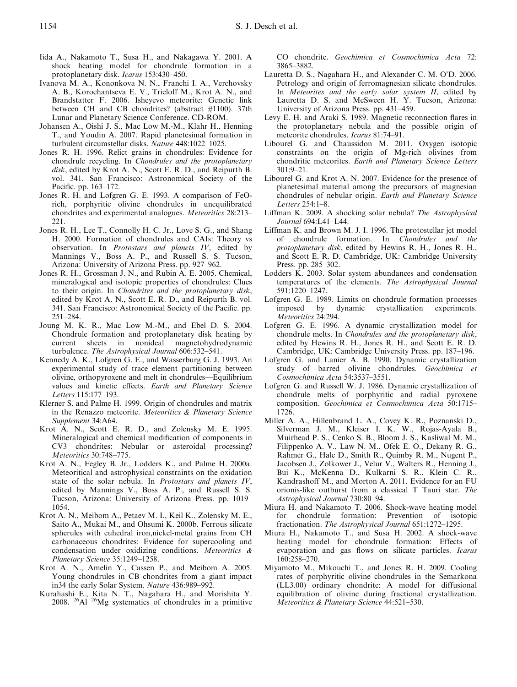- Iida A., Nakamoto T., Susa H., and Nakagawa Y. 2001. A shock heating model for chondrule formation in a protoplanetary disk. Icarus 153:430–450.
- Ivanova M. A., Kononkova N. N., Franchi I. A., Verchovsky A. B., Korochantseva E. V., Trieloff M., Krot A. N., and Brandstatter F. 2006. Isheyevo meteorite: Genetic link between CH and CB chondrites? (abstract #1100). 37th Lunar and Planetary Science Conference. CD-ROM.
- Johansen A., Oishi J. S., Mac Low M.-M., Klahr H., Henning T., and Youdin A. 2007. Rapid planetesimal formation in turbulent circumstellar disks. Nature 448:1022–1025.
- Jones R. H. 1996. Relict grains in chondrules: Evidence for chondrule recycling. In Chondrules and the protoplanetary disk, edited by Krot A. N., Scott E. R. D., and Reipurth B. vol. 341. San Francisco: Astronomical Society of the Pacific. pp. 163–172.
- Jones R. H. and Lofgren G. E. 1993. A comparison of FeOrich, porphyritic olivine chondrules in unequilibrated chondrites and experimental analogues. Meteoritics 28:213– 221.
- Jones R. H., Lee T., Connolly H. C. Jr., Love S. G., and Shang H. 2000. Formation of chondrules and CAIs: Theory vs observation. In Protostars and planets IV, edited by Mannings V., Boss A. P., and Russell S. S. Tucson, Arizona: University of Arizona Press. pp. 927–962.
- Jones R. H., Grossman J. N., and Rubin A. E. 2005. Chemical, mineralogical and isotopic properties of chondrules: Clues to their origin. In Chondrites and the protoplanetary disk, edited by Krot A. N., Scott E. R. D., and Reipurth B. vol. 341. San Francisco: Astronomical Society of the Pacific. pp. 251–284.
- Joung M. K. R., Mac Low M.-M., and Ebel D. S. 2004. Chondrule formation and protoplanetary disk heating by current sheets in nonideal magnetohydrodynamic turbulence. The Astrophysical Journal 606:532–541.
- Kennedy A. K., Lofgren G. E., and Wasserburg G. J. 1993. An experimental study of trace element partitioning between olivine, orthopyroxene and melt in chondrules—Equilibrium values and kinetic effects. Earth and Planetary Science Letters 115:177–193.
- Klerner S. and Palme H. 1999. Origin of chondrules and matrix in the Renazzo meteorite. Meteoritics & Planetary Science Supplement 34:A64.
- Krot A. N., Scott E. R. D., and Zolensky M. E. 1995. Mineralogical and chemical modification of components in CV3 chondrites: Nebular or asteroidal processing? Meteoritics 30:748–775.
- Krot A. N., Fegley B. Jr., Lodders K., and Palme H. 2000a. Meteoritical and astrophysical constraints on the oxidation state of the solar nebula. In Protostars and planets IV, edited by Mannings V., Boss A. P., and Russell S. S. Tucson, Arizona: University of Arizona Press. pp. 1019– 1054.
- Krot A. N., Meibom A., Petaev M. I., Keil K., Zolensky M. E., Saito A., Mukai M., and Ohsumi K. 2000b. Ferrous silicate spherules with euhedral iron,nickel-metal grains from CH carbonaceous chondrites: Evidence for supercooling and condensation under oxidizing conditions. Meteoritics & Planetary Science 35:1249–1258.
- Krot A. N., Amelin Y., Cassen P., and Meibom A. 2005. Young chondrules in CB chondrites from a giant impact in34 the early Solar System. Nature 436:989–992.
- Kurahashi E., Kita N. T., Nagahara H., and Morishita Y. 2008. 26Al 26Mg systematics of chondrules in a primitive

CO chondrite. Geochimica et Cosmochimica Acta 72: 3865–3882.

- Lauretta D. S., Nagahara H., and Alexander C. M. O'D. 2006. Petrology and origin of ferromagnesian silicate chondrules. In Meteorites and the early solar system II, edited by Lauretta D. S. and McSween H. Y. Tucson, Arizona: University of Arizona Press. pp. 431–459.
- Levy E. H. and Araki S. 1989. Magnetic reconnection flares in the protoplanetary nebula and the possible origin of meteorite chondrules. Icarus 81:74–91.
- Libourel G. and Chaussidon M. 2011. Oxygen isotopic constraints on the origin of Mg-rich olivines from chondritic meteorites. Earth and Planetary Science Letters 301:9–21.
- Libourel G. and Krot A. N. 2007. Evidence for the presence of planetesimal material among the precursors of magnesian chondrules of nebular origin. Earth and Planetary Science Letters 254:1–8.
- Liffman K. 2009. A shocking solar nebula? The Astrophysical Journal 694:L41–L44.
- Liffman K. and Brown M. J. I. 1996. The protostellar jet model of chondrule formation. In Chondrules and the protoplanetary disk, edited by Hewins R. H., Jones R. H., and Scott E. R. D. Cambridge, UK: Cambridge University Press. pp. 285–302.
- Lodders K. 2003. Solar system abundances and condensation temperatures of the elements. The Astrophysical Journal 591:1220–1247.
- Lofgren G. E. 1989. Limits on chondrule formation processes imposed by dynamic crystallization experiments. Meteoritics 24:294.
- Lofgren G. E. 1996. A dynamic crystallization model for chondrule melts. In Chondrules and the protoplanetary disk, edited by Hewins R. H., Jones R. H., and Scott E. R. D. Cambridge, UK: Cambridge University Press. pp. 187–196.
- Lofgren G. and Lanier A. B. 1990. Dynamic crystallization study of barred olivine chondrules. Geochimica et Cosmochimica Acta 54:3537–3551.
- Lofgren G. and Russell W. J. 1986. Dynamic crystallization of chondrule melts of porphyritic and radial pyroxene composition. Geochimica et Cosmochimica Acta 50:1715– 1726.
- Miller A. A., Hillenbrand L. A., Covey K. R., Poznanski D., Silverman J. M., Kleiser I. K. W., Rojas-Ayala B., Muirhead P. S., Cenko S. B., Bloom J. S., Kasliwal M. M., Filippenko A. V., Law N. M., Ofek E. O., Dekany R. G., Rahmer G., Hale D., Smith R., Quimby R. M., Nugent P., Jacobsen J., Zolkower J., Velur V., Walters R., Henning J., Bui K., McKenna D., Kulkarni S. R., Klein C. R., Kandrashoff M., and Morton A. 2011. Evidence for an FU orionis-like outburst from a classical T Tauri star. The Astrophysical Journal 730:80–94.
- Miura H. and Nakamoto T. 2006. Shock-wave heating model for chondrule formation: Prevention of isotopic fractionation. The Astrophysical Journal 651:1272–1295.
- Miura H., Nakamoto T., and Susa H. 2002. A shock-wave heating model for chondrule formation: Effects of evaporation and gas flows on silicate particles. Icarus 160:258–270.
- Miyamoto M., Mikouchi T., and Jones R. H. 2009. Cooling rates of porphyritic olivine chondrules in the Semarkona (LL3.00) ordinary chondrite: A model for diffusional equilibration of olivine during fractional crystallization. Meteoritics & Planetary Science 44:521–530.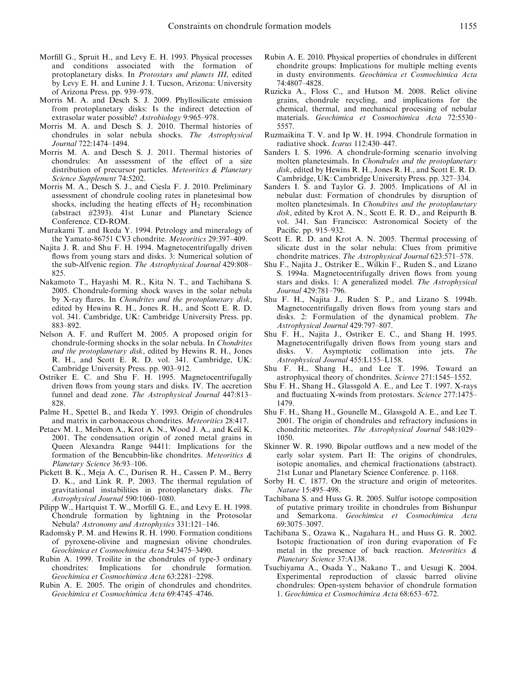- Morfill G., Spruit H., and Levy E. H. 1993. Physical processes and conditions associated with the formation of protoplanetary disks. In Protostars and planets III, edited by Levy E. H. and Lunine J. I. Tucson, Arizona: University of Arizona Press. pp. 939–978.
- Morris M. A. and Desch S. J. 2009. Phyllosilicate emission from protoplanetary disks: Is the indirect detection of extrasolar water possible? Astrobiology 9:965–978.
- Morris M. A. and Desch S. J. 2010. Thermal histories of chondrules in solar nebula shocks. The Astrophysical Journal 722:1474–1494.
- Morris M. A. and Desch S. J. 2011. Thermal histories of chondrules: An assessment of the effect of a size distribution of precursor particles. Meteoritics & Planetary Science Supplement 74:5202.
- Morris M. A., Desch S. J., and Ciesla F. J. 2010. Preliminary assessment of chondrule cooling rates in planetesimal bow shocks, including the heating effects of  $H_2$  recombination (abstract #2393). 41st Lunar and Planetary Science Conference. CD-ROM.
- Murakami T. and Ikeda Y. 1994. Petrology and mineralogy of the Yamato-86751 CV3 chondrite. Meteoritics 29:397–409.
- Najita J. R. and Shu F. H. 1994. Magnetocentrifugally driven flows from young stars and disks. 3: Numerical solution of the sub-Alfvenic region. The Astrophysical Journal 429:808– 825.
- Nakamoto T., Hayashi M. R., Kita N. T., and Tachibana S. 2005. Chondrule-forming shock waves in the solar nebula by X-ray flares. In Chondrites and the protoplanetary disk, edited by Hewins R. H., Jones R. H., and Scott E. R. D. vol. 341. Cambridge, UK: Cambridge University Press. pp. 883–892.
- Nelson A. F. and Ruffert M. 2005. A proposed origin for chondrule-forming shocks in the solar nebula. In Chondrites and the protoplanetary disk, edited by Hewins R. H., Jones R. H., and Scott E. R. D. vol. 341. Cambridge, UK: Cambridge University Press. pp. 903–912.
- Ostriker E. C. and Shu F. H. 1995. Magnetocentrifugally driven flows from young stars and disks. IV. The accretion funnel and dead zone. The Astrophysical Journal 447:813– 828.
- Palme H., Spettel B., and Ikeda Y. 1993. Origin of chondrules and matrix in carbonaceous chondrites. Meteoritics 28:417.
- Petaev M. I., Meibom A., Krot A. N., Wood J. A., and Keil K. 2001. The condensation origin of zoned metal grains in Queen Alexandra Range 94411: Implications for the formation of the Bencubbin-like chondrites. Meteoritics & Planetary Science 36:93–106.
- Pickett B. K., Meja A. C., Durisen R. H., Cassen P. M., Berry D. K., and Link R. P. 2003. The thermal regulation of gravitational instabilities in protoplanetary disks. The Astrophysical Journal 590:1060–1080.
- Pilipp W., Hartquist T. W., Morfill G. E., and Levy E. H. 1998. Chondrule formation by lightning in the Protosolar Nebula? Astronomy and Astrophysics 331:121–146.
- Radomsky P. M. and Hewins R. H. 1990. Formation conditions of pyroxene-olivine and magnesian olivine chondrules. Geochimica et Cosmochimica Acta 54:3475–3490.
- Rubin A. 1999. Troilite in the chondrules of type-3 ordinary chondrites: Implications for chondrule formation. Geochimica et Cosmochimica Acta 63:2281–2298.
- Rubin A. E. 2005. The origin of chondrules and chondrites. Geochimica et Cosmochimica Acta 69:4745–4746.
- Rubin A. E. 2010. Physical properties of chondrules in different chondrite groups: Implications for multiple melting events in dusty environments. Geochimica et Cosmochimica Acta 74:4807–4828.
- Ruzicka A., Floss C., and Hutson M. 2008. Relict olivine grains, chondrule recycling, and implications for the chemical, thermal, and mechanical processing of nebular materials. Geochimica et Cosmochimica Acta 72:5530– 5557.
- Ruzmaikina T. V. and Ip W. H. 1994. Chondrule formation in radiative shock. Icarus 112:430–447.
- Sanders I. S. 1996. A chondrule-forming scenario involving molten planetesimals. In Chondrules and the protoplanetary disk, edited by Hewins R. H., Jones R. H., and Scott E. R. D. Cambridge, UK: Cambridge University Press. pp. 327–334.
- Sanders I. S. and Taylor G. J. 2005. Implications of Al in nebular dust: Formation of chondrules by disruption of molten planetesimals. In Chondrites and the protoplanetary disk, edited by Krot A. N., Scott E. R. D., and Reipurth B. vol. 341. San Francisco: Astronomical Society of the Pacific. pp. 915–932.
- Scott E. R. D. and Krot A. N. 2005. Thermal processing of silicate dust in the solar nebula: Clues from primitive chondrite matrices. The Astrophysical Journal 623:571–578.
- Shu F., Najita J., Ostriker E., Wilkin F., Ruden S., and Lizano S. 1994a. Magnetocentrifugally driven flows from young stars and disks. 1: A generalized model. The Astrophysical Journal 429:781–796.
- Shu F. H., Najita J., Ruden S. P., and Lizano S. 1994b. Magnetocentrifugally driven flows from young stars and disks. 2: Formulation of the dynamical problem. The Astrophysical Journal 429:797–807.
- Shu F. H., Najita J., Ostriker E. C., and Shang H. 1995. Magnetocentrifugally driven flows from young stars and disks. V. Asymptotic collimation into jets. The Astrophysical Journal 455:L155–L158.
- Shu F. H., Shang H., and Lee T. 1996. Toward an astrophysical theory of chondrites. Science 271:1545–1552.
- Shu F. H., Shang H., Glassgold A. E., and Lee T. 1997. X-rays and fluctuating X-winds from protostars. Science 277:1475– 1479.
- Shu F. H., Shang H., Gounelle M., Glassgold A. E., and Lee T. 2001. The origin of chondrules and refractory inclusions in chondritic meteorites. The Astrophysical Journal 548:1029– 1050.
- Skinner W. R. 1990. Bipolar outflows and a new model of the early solar system. Part II: The origins of chondrules, isotopic anomalies, and chemical fractionations (abstract). 21st Lunar and Planetary Science Conference. p. 1168.
- Sorby H. C. 1877. On the structure and origin of meteorites. Nature 15:495–498.
- Tachibana S. and Huss G. R. 2005. Sulfur isotope composition of putative primary troilite in chondrules from Bishunpur and Semarkona. Geochimica et Cosmochimica Acta 69:3075–3097.
- Tachibana S., Ozawa K., Nagahara H., and Huss G. R. 2002. Isotopic fractionation of iron during evaporation of Fe metal in the presence of back reaction. Meteoritics & Planetary Science 37:A138.
- Tsuchiyama A., Osada Y., Nakano T., and Uesugi K. 2004. Experimental reproduction of classic barred olivine chondrules: Open-system behavior of chondrule formation 1. Geochimica et Cosmochimica Acta 68:653–672.